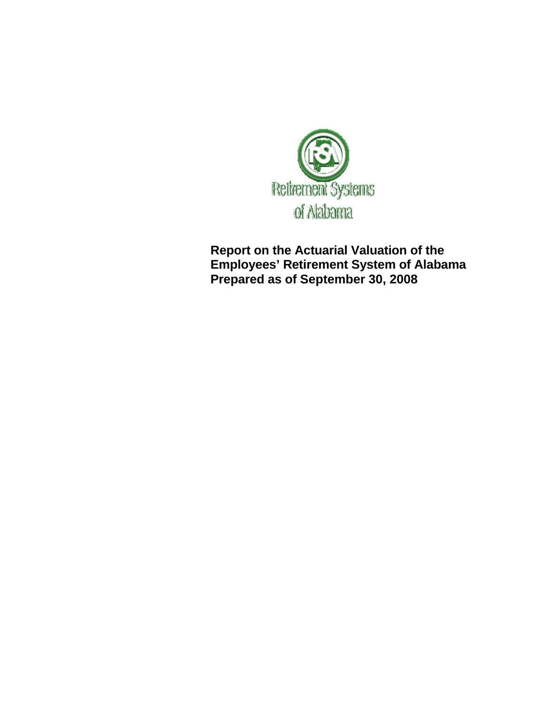

**Report on the Actuarial Valuation of the Employees' Retirement System of Alabama Prepared as of September 30, 2008**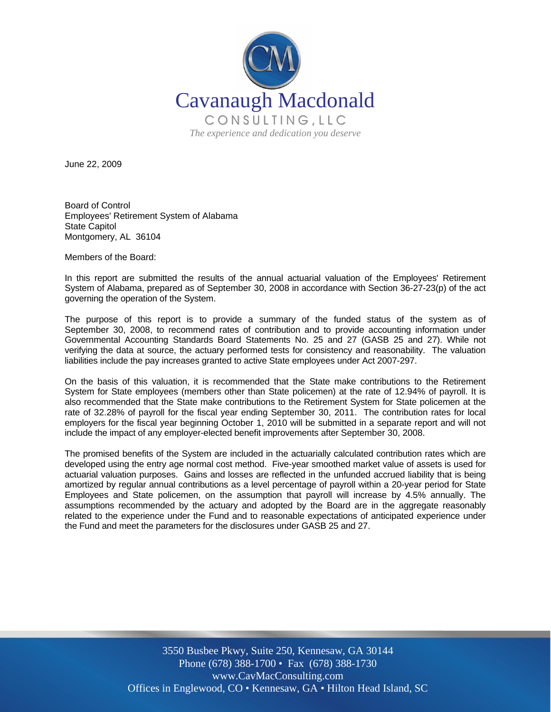

June 22, 2009

Board of Control Employees' Retirement System of Alabama State Capitol Montgomery, AL 36104

Members of the Board:

In this report are submitted the results of the annual actuarial valuation of the Employees' Retirement System of Alabama, prepared as of September 30, 2008 in accordance with Section 36-27-23(p) of the act governing the operation of the System.

The purpose of this report is to provide a summary of the funded status of the system as of September 30, 2008, to recommend rates of contribution and to provide accounting information under Governmental Accounting Standards Board Statements No. 25 and 27 (GASB 25 and 27). While not verifying the data at source, the actuary performed tests for consistency and reasonability. The valuation liabilities include the pay increases granted to active State employees under Act 2007-297.

On the basis of this valuation, it is recommended that the State make contributions to the Retirement System for State employees (members other than State policemen) at the rate of 12.94% of payroll. It is also recommended that the State make contributions to the Retirement System for State policemen at the rate of 32.28% of payroll for the fiscal year ending September 30, 2011. The contribution rates for local employers for the fiscal year beginning October 1, 2010 will be submitted in a separate report and will not include the impact of any employer-elected benefit improvements after September 30, 2008.

The promised benefits of the System are included in the actuarially calculated contribution rates which are developed using the entry age normal cost method. Five-year smoothed market value of assets is used for actuarial valuation purposes. Gains and losses are reflected in the unfunded accrued liability that is being amortized by regular annual contributions as a level percentage of payroll within a 20-year period for State Employees and State policemen, on the assumption that payroll will increase by 4.5% annually. The assumptions recommended by the actuary and adopted by the Board are in the aggregate reasonably related to the experience under the Fund and to reasonable expectations of anticipated experience under the Fund and meet the parameters for the disclosures under GASB 25 and 27.

> 3550 Busbee Pkwy, Suite 250, Kennesaw, GA 30144 Phone (678) 388-1700 • Fax (678) 388-1730 www.CavMacConsulting.com Offices in Englewood, CO • Kennesaw, GA • Hilton Head Island, SC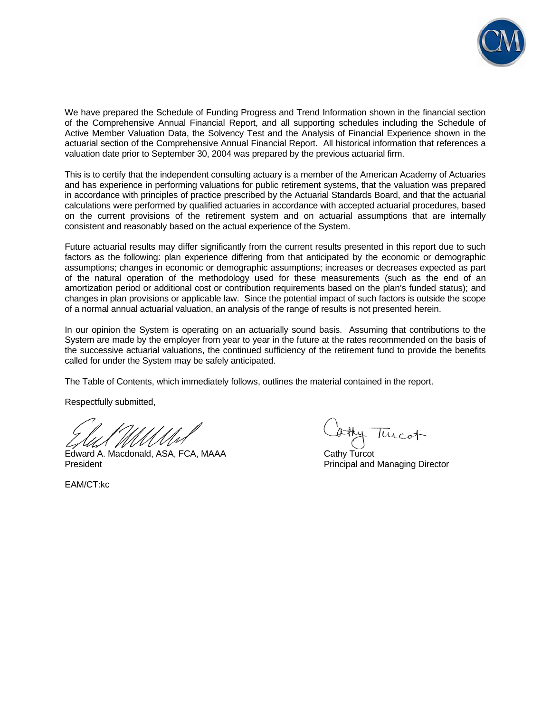

We have prepared the Schedule of Funding Progress and Trend Information shown in the financial section of the Comprehensive Annual Financial Report, and all supporting schedules including the Schedule of Active Member Valuation Data, the Solvency Test and the Analysis of Financial Experience shown in the actuarial section of the Comprehensive Annual Financial Report. All historical information that references a valuation date prior to September 30, 2004 was prepared by the previous actuarial firm.

This is to certify that the independent consulting actuary is a member of the American Academy of Actuaries and has experience in performing valuations for public retirement systems, that the valuation was prepared in accordance with principles of practice prescribed by the Actuarial Standards Board, and that the actuarial calculations were performed by qualified actuaries in accordance with accepted actuarial procedures, based on the current provisions of the retirement system and on actuarial assumptions that are internally consistent and reasonably based on the actual experience of the System.

Future actuarial results may differ significantly from the current results presented in this report due to such factors as the following: plan experience differing from that anticipated by the economic or demographic assumptions; changes in economic or demographic assumptions; increases or decreases expected as part of the natural operation of the methodology used for these measurements (such as the end of an amortization period or additional cost or contribution requirements based on the plan's funded status); and changes in plan provisions or applicable law. Since the potential impact of such factors is outside the scope of a normal annual actuarial valuation, an analysis of the range of results is not presented herein.

In our opinion the System is operating on an actuarially sound basis. Assuming that contributions to the System are made by the employer from year to year in the future at the rates recommended on the basis of the successive actuarial valuations, the continued sufficiency of the retirement fund to provide the benefits called for under the System may be safely anticipated.

The Table of Contents, which immediately follows, outlines the material contained in the report.

Respectfully submitted,

Edward A. Macdonald, ASA, FCA, MAAA Cathy Turcot President **President** President **Principal and Managing Director** Principal and Managing Director

EAM/CT:kc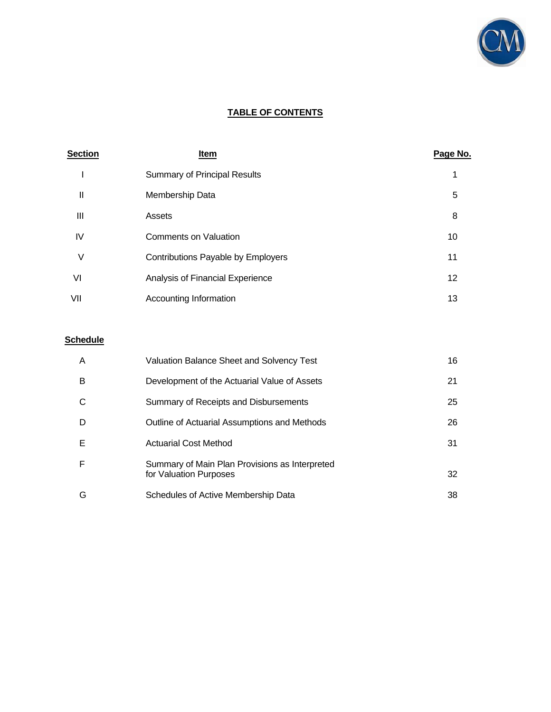

# **TABLE OF CONTENTS**

| <b>Section</b> | <b>Item</b>                         | Page No. |
|----------------|-------------------------------------|----------|
|                | <b>Summary of Principal Results</b> | 1        |
| $\mathsf{I}$   | Membership Data                     | 5        |
| Ш              | Assets                              | 8        |
| IV             | <b>Comments on Valuation</b>        | 10       |
| ٧              | Contributions Payable by Employers  | 11       |
| VI             | Analysis of Financial Experience    | 12       |
| VII            | Accounting Information              | 13       |

# **Schedule**

| A | Valuation Balance Sheet and Solvency Test                                | 16 |
|---|--------------------------------------------------------------------------|----|
| B | Development of the Actuarial Value of Assets                             | 21 |
|   | Summary of Receipts and Disbursements                                    | 25 |
| D | Outline of Actuarial Assumptions and Methods                             | 26 |
| Е | <b>Actuarial Cost Method</b>                                             | 31 |
| F | Summary of Main Plan Provisions as Interpreted<br>for Valuation Purposes | 32 |
| G | Schedules of Active Membership Data                                      | 38 |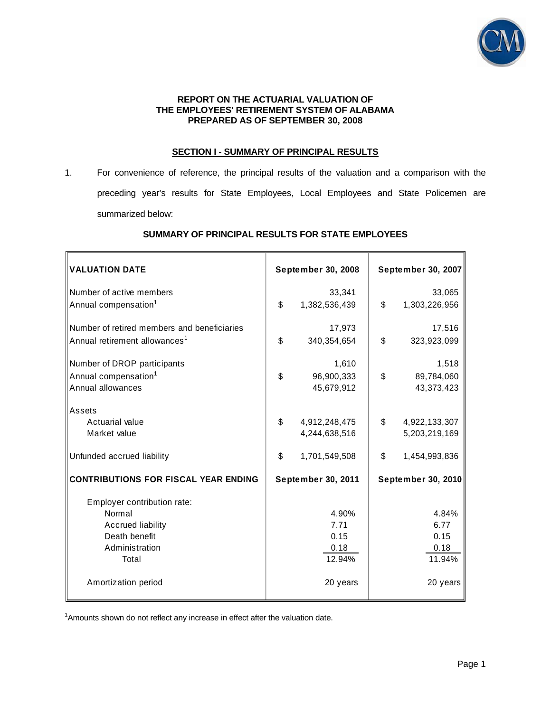

#### **REPORT ON THE ACTUARIAL VALUATION OF THE EMPLOYEES' RETIREMENT SYSTEM OF ALABAMA PREPARED AS OF SEPTEMBER 30, 2008**

#### **SECTION I - SUMMARY OF PRINCIPAL RESULTS**

1. For convenience of reference, the principal results of the valuation and a comparison with the preceding year's results for State Employees, Local Employees and State Policemen are summarized below:

| <b>VALUATION DATE</b>                       | September 30, 2008  | September 30, 2007  |
|---------------------------------------------|---------------------|---------------------|
| Number of active members                    | 33,341              | 33,065              |
| Annual compensation <sup>1</sup>            | \$<br>1,382,536,439 | \$<br>1,303,226,956 |
| Number of retired members and beneficiaries | 17,973              | 17,516              |
| Annual retirement allowances <sup>1</sup>   | \$<br>340, 354, 654 | \$<br>323,923,099   |
| Number of DROP participants                 | 1,610               | 1,518               |
| Annual compensation <sup>1</sup>            | \$<br>96,900,333    | \$<br>89,784,060    |
| Annual allowances                           | 45,679,912          | 43,373,423          |
| Assets                                      |                     |                     |
| Actuarial value                             | \$<br>4,912,248,475 | \$<br>4,922,133,307 |
| Market value                                | 4,244,638,516       | 5,203,219,169       |
| Unfunded accrued liability                  | \$<br>1,701,549,508 | \$<br>1,454,993,836 |
| <b>CONTRIBUTIONS FOR FISCAL YEAR ENDING</b> | September 30, 2011  | September 30, 2010  |
| Employer contribution rate:                 |                     |                     |
| Normal                                      | 4.90%               | 4.84%               |
| <b>Accrued liability</b>                    | 7.71                | 6.77                |
| Death benefit                               | 0.15                | 0.15                |
| Administration                              | 0.18                | 0.18                |
| Total                                       | 12.94%              | 11.94%              |
| Amortization period                         | 20 years            | 20 years            |

## **SUMMARY OF PRINCIPAL RESULTS FOR STATE EMPLOYEES**

<sup>1</sup>Amounts shown do not reflect any increase in effect after the valuation date.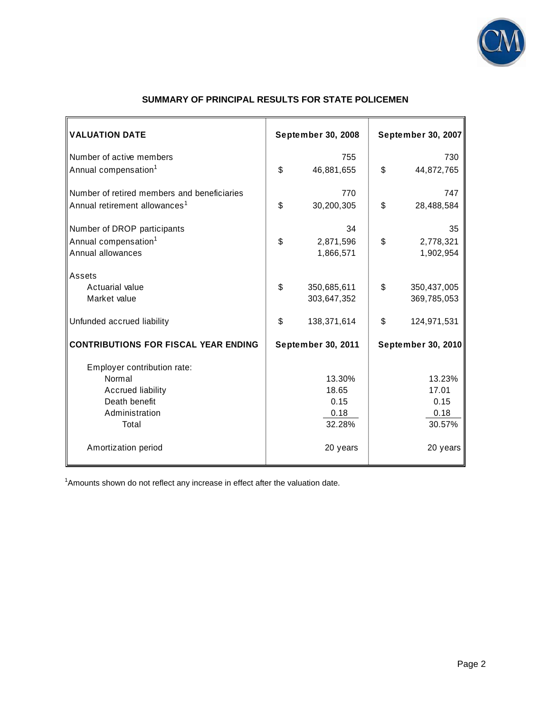

| <b>VALUATION DATE</b>                       | <b>September 30, 2008</b> | <b>September 30, 2007</b> |
|---------------------------------------------|---------------------------|---------------------------|
| Number of active members                    | 755                       | 730                       |
| Annual compensation <sup>1</sup>            | \$<br>46,881,655          | \$<br>44,872,765          |
| Number of retired members and beneficiaries | 770                       | 747                       |
| Annual retirement allowances <sup>1</sup>   | \$<br>30,200,305          | \$<br>28,488,584          |
| Number of DROP participants                 | 34                        | 35                        |
| Annual compensation <sup>1</sup>            | \$<br>2,871,596           | \$<br>2,778,321           |
| Annual allowances                           | 1,866,571                 | 1,902,954                 |
| Assets                                      |                           |                           |
| Actuarial value                             | \$<br>350,685,611         | \$<br>350,437,005         |
| Market value                                | 303,647,352               | 369,785,053               |
| Unfunded accrued liability                  | \$<br>138,371,614         | \$<br>124,971,531         |
| <b>CONTRIBUTIONS FOR FISCAL YEAR ENDING</b> | September 30, 2011        | <b>September 30, 2010</b> |
| Employer contribution rate:                 |                           |                           |
| Normal                                      | 13.30%                    | 13.23%                    |
| <b>Accrued liability</b>                    | 18.65                     | 17.01                     |
| Death benefit                               | 0.15                      | 0.15                      |
| Administration                              | 0.18                      | 0.18                      |
| Total                                       | 32.28%                    | 30.57%                    |
| Amortization period                         | 20 years                  | 20 years                  |

# **SUMMARY OF PRINCIPAL RESULTS FOR STATE POLICEMEN**

 $1$ Amounts shown do not reflect any increase in effect after the valuation date.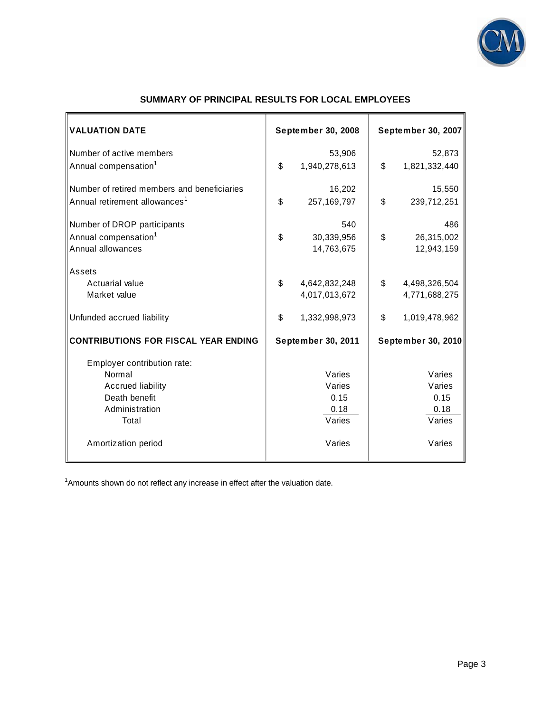

| <b>VALUATION DATE</b>                       | September 30, 2008  | September 30, 2007        |
|---------------------------------------------|---------------------|---------------------------|
| Number of active members                    | 53,906              | 52,873                    |
| Annual compensation <sup>1</sup>            | \$<br>1,940,278,613 | \$<br>1,821,332,440       |
| Number of retired members and beneficiaries | 16,202              | 15,550                    |
| Annual retirement allowances <sup>1</sup>   | \$<br>257, 169, 797 | \$<br>239,712,251         |
| Number of DROP participants                 | 540                 | 486                       |
| Annual compensation <sup>1</sup>            | \$<br>30,339,956    | \$<br>26,315,002          |
| Annual allowances                           | 14,763,675          | 12,943,159                |
| Assets                                      |                     |                           |
| Actuarial value                             | \$<br>4,642,832,248 | \$<br>4,498,326,504       |
| Market value                                | 4,017,013,672       | 4,771,688,275             |
| Unfunded accrued liability                  | \$<br>1,332,998,973 | \$<br>1,019,478,962       |
| <b>CONTRIBUTIONS FOR FISCAL YEAR ENDING</b> | September 30, 2011  | <b>September 30, 2010</b> |
| Employer contribution rate:                 |                     |                           |
| Normal                                      | Varies              | Varies                    |
| <b>Accrued liability</b>                    | Varies              | Varies                    |
| Death benefit                               | 0.15                | 0.15                      |
| Administration<br>Total                     | 0.18<br>Varies      | 0.18<br>Varies            |
|                                             |                     |                           |
| Amortization period                         | Varies              | Varies                    |

# **SUMMARY OF PRINCIPAL RESULTS FOR LOCAL EMPLOYEES**

<sup>1</sup>Amounts shown do not reflect any increase in effect after the valuation date.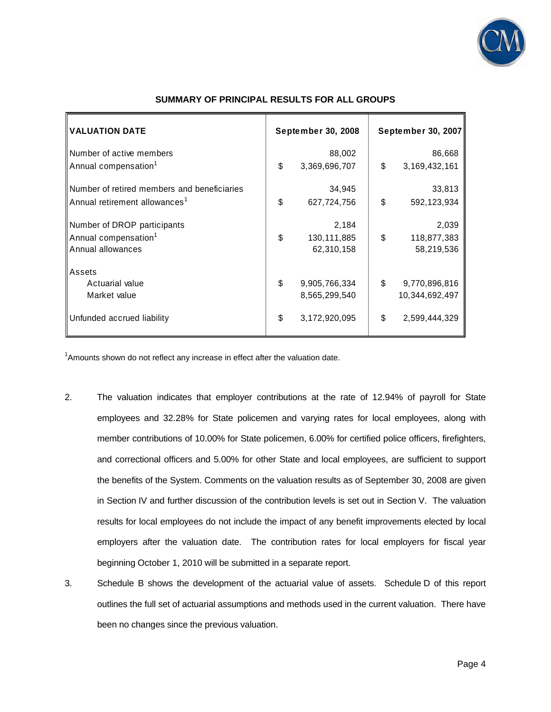

| <b>VALUATION DATE</b>                       |    | September 30, 2008 | September 30, 2007     |
|---------------------------------------------|----|--------------------|------------------------|
| Number of active members                    |    | 88,002             | 86,668                 |
| Annual compensation <sup>1</sup>            | \$ | 3,369,696,707      | \$<br>3, 169, 432, 161 |
| Number of retired members and beneficiaries |    | 34,945             | 33,813                 |
| Annual retirement allowances <sup>1</sup>   | \$ | 627,724,756        | \$<br>592, 123, 934    |
| Number of DROP participants                 |    | 2,184              | 2,039                  |
| Annual compensation <sup>1</sup>            | \$ | 130,111,885        | \$<br>118,877,383      |
| Annual allowances                           |    | 62,310,158         | 58,219,536             |
| Assets                                      |    |                    |                        |
| Actuarial value                             | \$ | 9,905,766,334      | \$<br>9,770,896,816    |
| Market value                                |    | 8,565,299,540      | 10,344,692,497         |
| Unfunded accrued liability                  | \$ | 3,172,920,095      | \$<br>2,599,444,329    |

#### **SUMMARY OF PRINCIPAL RESULTS FOR ALL GROUPS**

<sup>1</sup>Amounts shown do not reflect any increase in effect after the valuation date.

- 2. The valuation indicates that employer contributions at the rate of 12.94% of payroll for State employees and 32.28% for State policemen and varying rates for local employees, along with member contributions of 10.00% for State policemen, 6.00% for certified police officers, firefighters, and correctional officers and 5.00% for other State and local employees, are sufficient to support the benefits of the System. Comments on the valuation results as of September 30, 2008 are given in Section IV and further discussion of the contribution levels is set out in Section V. The valuation results for local employees do not include the impact of any benefit improvements elected by local employers after the valuation date. The contribution rates for local employers for fiscal year beginning October 1, 2010 will be submitted in a separate report.
- 3. Schedule B shows the development of the actuarial value of assets. Schedule D of this report outlines the full set of actuarial assumptions and methods used in the current valuation. There have been no changes since the previous valuation.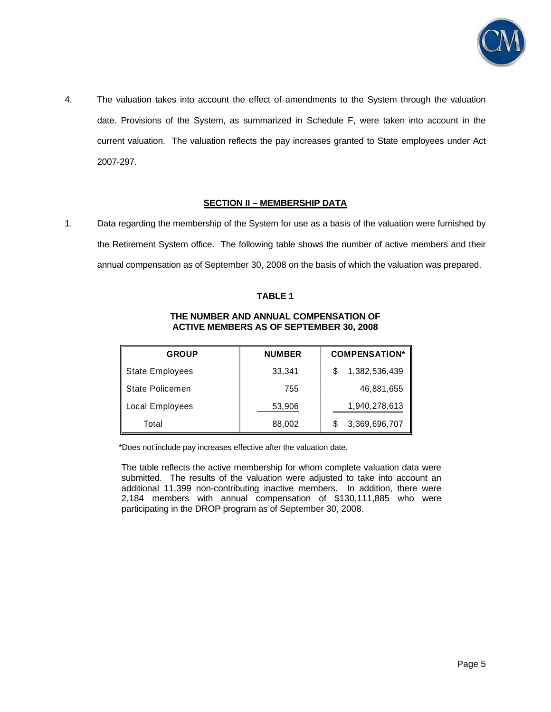

4. The valuation takes into account the effect of amendments to the System through the valuation date. Provisions of the System, as summarized in Schedule F, were taken into account in the current valuation. The valuation reflects the pay increases granted to State employees under Act 2007-297.

## **SECTION II – MEMBERSHIP DATA**

1. Data regarding the membership of the System for use as a basis of the valuation were furnished by the Retirement System office. The following table shows the number of active members and their annual compensation as of September 30, 2008 on the basis of which the valuation was prepared.

#### **TABLE 1**

## **THE NUMBER AND ANNUAL COMPENSATION OF ACTIVE MEMBERS AS OF SEPTEMBER 30, 2008**

| <b>GROUP</b>           | <b>NUMBER</b> | <b>COMPENSATION*</b> |
|------------------------|---------------|----------------------|
| <b>State Employees</b> | 33,341        | 1,382,536,439        |
| State Policemen        | 755           | 46,881,655           |
| Local Employees        | 53,906        | 1,940,278,613        |
| Total                  | 88,002        | 3,369,696,707        |

\*Does not include pay increases effective after the valuation date.

The table reflects the active membership for whom complete valuation data were submitted. The results of the valuation were adjusted to take into account an additional 11,399 non-contributing inactive members. In addition, there were 2,184 members with annual compensation of \$130,111,885 who were participating in the DROP program as of September 30, 2008.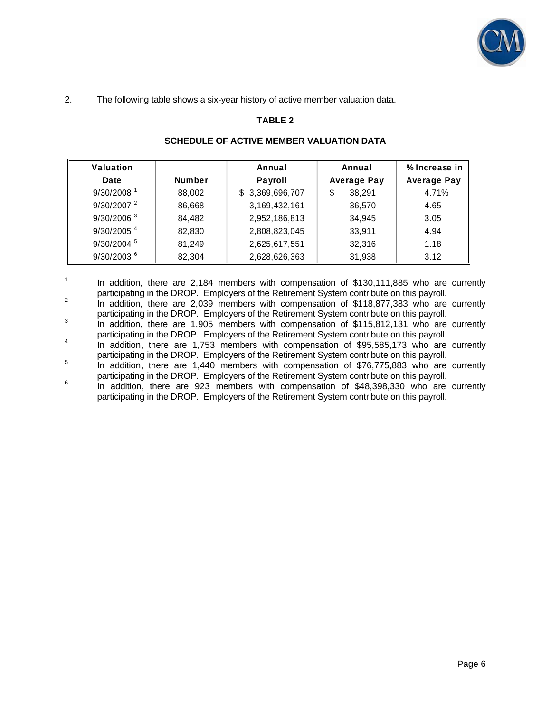

2. The following table shows a six-year history of active member valuation data.

1

# **TABLE 2**

| Valuation                |               | Annual          | Annual             | % Increase in      |
|--------------------------|---------------|-----------------|--------------------|--------------------|
| Date                     | <b>Number</b> | Payroll         | <b>Average Pay</b> | <b>Average Pay</b> |
| $9/30/2008$ <sup>1</sup> | 88,002        | \$3,369,696,707 | 38,291             | 4.71%              |
| $9/30/2007$ <sup>2</sup> | 86,668        | 3,169,432,161   | 36.570             | 4.65               |
| $9/30/2006$ <sup>3</sup> | 84.482        | 2,952,186,813   | 34.945             | 3.05               |
| $9/30/2005$ <sup>4</sup> | 82.830        | 2,808,823,045   | 33,911             | 4.94               |
| 9/30/2004 5              | 81.249        | 2,625,617,551   | 32,316             | 1.18               |
| $9/30/2003$ <sup>6</sup> | 82,304        | 2,628,626,363   | 31,938             | 3.12               |

#### **SCHEDULE OF ACTIVE MEMBER VALUATION DATA**

 In addition, there are 2,184 members with compensation of \$130,111,885 who are currently participating in the DROP. Employers of the Retirement System contribute on this payroll.

In addition, there are 2,039 members with compensation of \$118,877,383 who are currently participating in the DROP. Employers of the Retirement System contribute on this payroll.<br>a contribution there are 1.005 members with companentian of \$445,942,424 who are

In addition, there are 1,905 members with compensation of \$115,812,131 who are currently participating in the DROP. Employers of the Retirement System contribute on this payroll.<br><sup>4</sup> a saddition there are 4.752 members with comparability of \$05,505,473 who are

In addition, there are 1,753 members with compensation of \$95,585,173 who are currently participating in the DROP. Employers of the Retirement System contribute on this payroll.

In addition, there are 1,440 members with compensation of \$76,775,883 who are currently participating in the DROP. Employers of the Retirement System contribute on this payroll. 6

 In addition, there are 923 members with compensation of \$48,398,330 who are currently participating in the DROP. Employers of the Retirement System contribute on this payroll.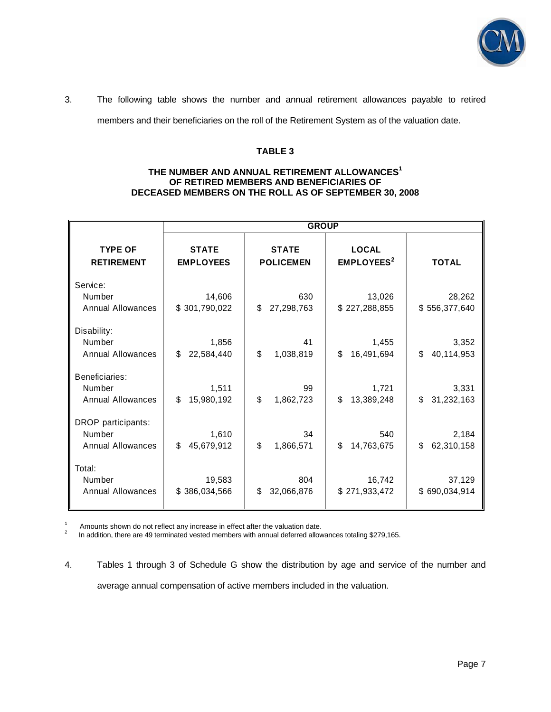

# 3. The following table shows the number and annual retirement allowances payable to retired

members and their beneficiaries on the roll of the Retirement System as of the valuation date.

#### **TABLE 3**

#### **THE NUMBER AND ANNUAL RETIREMENT ALLOWANCES<sup>1</sup> OF RETIRED MEMBERS AND BENEFICIARIES OF DECEASED MEMBERS ON THE ROLL AS OF SEPTEMBER 30, 2008**

|                                              | <b>GROUP</b>            |                         |                              |                         |  |
|----------------------------------------------|-------------------------|-------------------------|------------------------------|-------------------------|--|
| <b>TYPE OF</b>                               | <b>STATE</b>            | <b>STATE</b>            | <b>LOCAL</b>                 | <b>TOTAL</b>            |  |
| <b>RETIREMENT</b>                            | <b>EMPLOYEES</b>        | <b>POLICEMEN</b>        | <b>EMPLOYEES<sup>2</sup></b> |                         |  |
| Service:<br>Number<br>Annual Allowances      | 14,606<br>\$301,790,022 | 630<br>\$<br>27,298,763 | 13,026<br>\$227,288,855      | 28,262<br>\$556,377,640 |  |
| Disability:                                  | 1,856                   | 41                      | 1,455                        | 3,352                   |  |
| Number                                       | \$                      | \$                      | \$                           | \$                      |  |
| <b>Annual Allowances</b>                     | 22,584,440              | 1,038,819               | 16,491,694                   | 40,114,953              |  |
| Beneficiaries:                               | 1,511                   | 99                      | 1,721                        | 3,331                   |  |
| Number                                       | \$                      | \$                      | \$                           | \$                      |  |
| <b>Annual Allowances</b>                     | 15,980,192              | 1,862,723               | 13,389,248                   | 31,232,163              |  |
| DROP participants:                           | 1,610                   | 34                      | 540                          | 2,184                   |  |
| Number                                       | \$                      | \$                      | \$                           | \$                      |  |
| <b>Annual Allowances</b>                     | 45,679,912              | 1,866,571               | 14,763,675                   | 62,310,158              |  |
| Total:<br>Number<br><b>Annual Allowances</b> | 19,583<br>\$386,034,566 | 804<br>\$<br>32,066,876 | 16,742<br>\$271,933,472      | 37,129<br>\$690,034,914 |  |

<sup>1</sup> Amounts shown do not reflect any increase in effect after the valuation date.<br><sup>2</sup> In addition, there are 49 terminated vested members with annual deferred allowances totaling \$279,165.

4. Tables 1 through 3 of Schedule G show the distribution by age and service of the number and average annual compensation of active members included in the valuation.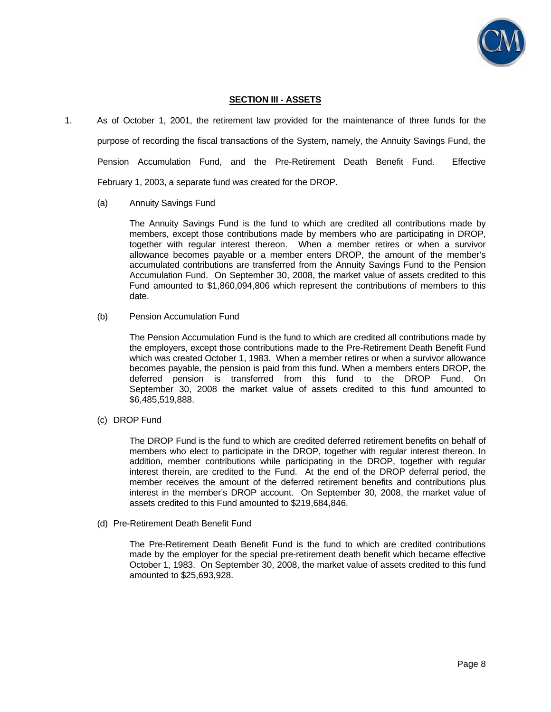

#### **SECTION III - ASSETS**

- 1. As of October 1, 2001, the retirement law provided for the maintenance of three funds for the purpose of recording the fiscal transactions of the System, namely, the Annuity Savings Fund, the Pension Accumulation Fund, and the Pre-Retirement Death Benefit Fund. Effective February 1, 2003, a separate fund was created for the DROP.
	- (a) Annuity Savings Fund

 The Annuity Savings Fund is the fund to which are credited all contributions made by members, except those contributions made by members who are participating in DROP, together with regular interest thereon. When a member retires or when a survivor allowance becomes payable or a member enters DROP, the amount of the member's accumulated contributions are transferred from the Annuity Savings Fund to the Pension Accumulation Fund. On September 30, 2008, the market value of assets credited to this Fund amounted to \$1,860,094,806 which represent the contributions of members to this date.

(b) Pension Accumulation Fund

 The Pension Accumulation Fund is the fund to which are credited all contributions made by the employers, except those contributions made to the Pre-Retirement Death Benefit Fund which was created October 1, 1983. When a member retires or when a survivor allowance becomes payable, the pension is paid from this fund. When a members enters DROP, the deferred pension is transferred from this fund to the DROP Fund. On September 30, 2008 the market value of assets credited to this fund amounted to \$6,485,519,888.

(c) DROP Fund

 The DROP Fund is the fund to which are credited deferred retirement benefits on behalf of members who elect to participate in the DROP, together with regular interest thereon. In addition, member contributions while participating in the DROP, together with regular interest therein, are credited to the Fund. At the end of the DROP deferral period, the member receives the amount of the deferred retirement benefits and contributions plus interest in the member's DROP account. On September 30, 2008, the market value of assets credited to this Fund amounted to \$219,684,846.

(d) Pre-Retirement Death Benefit Fund

 The Pre-Retirement Death Benefit Fund is the fund to which are credited contributions made by the employer for the special pre-retirement death benefit which became effective October 1, 1983. On September 30, 2008, the market value of assets credited to this fund amounted to \$25,693,928.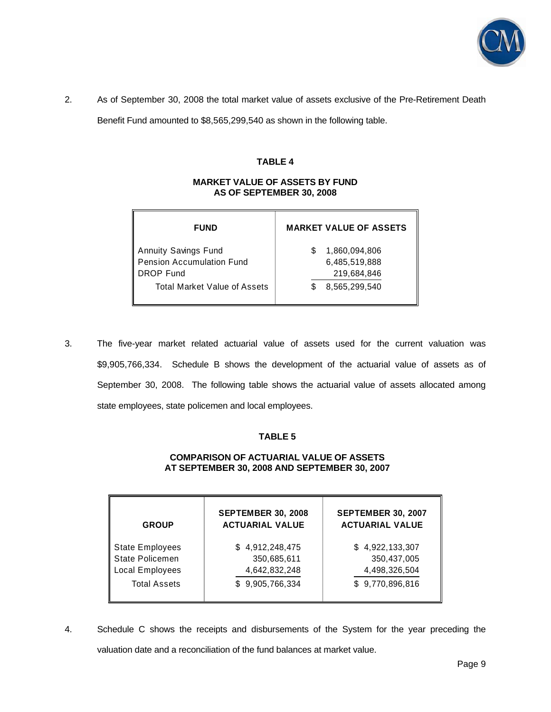

2. As of September 30, 2008 the total market value of assets exclusive of the Pre-Retirement Death

Benefit Fund amounted to \$8,565,299,540 as shown in the following table.

#### **TABLE 4**

#### **MARKET VALUE OF ASSETS BY FUND AS OF SEPTEMBER 30, 2008**

| <b>FUND</b>                         | <b>MARKET VALUE OF ASSETS</b> |
|-------------------------------------|-------------------------------|
| <b>Annuity Savings Fund</b>         | 1,860,094,806                 |
| Pension Accumulation Fund           | 6,485,519,888                 |
| DROP Fund                           | 219,684,846                   |
| <b>Total Market Value of Assets</b> | 8,565,299,540                 |

3. The five-year market related actuarial value of assets used for the current valuation was \$9,905,766,334. Schedule B shows the development of the actuarial value of assets as of September 30, 2008. The following table shows the actuarial value of assets allocated among state employees, state policemen and local employees.

#### **TABLE 5**

#### **COMPARISON OF ACTUARIAL VALUE OF ASSETS AT SEPTEMBER 30, 2008 AND SEPTEMBER 30, 2007**

| <b>GROUP</b>           | <b>SEPTEMBER 30, 2008</b><br><b>ACTUARIAL VALUE</b> | <b>SEPTEMBER 30, 2007</b><br><b>ACTUARIAL VALUE</b> |
|------------------------|-----------------------------------------------------|-----------------------------------------------------|
| <b>State Employees</b> | \$4,912,248,475                                     | \$4,922,133,307                                     |
| <b>State Policemen</b> | 350,685,611                                         | 350,437,005                                         |
| Local Employees        | 4,642,832,248                                       | 4,498,326,504                                       |
| <b>Total Assets</b>    | \$9,905,766,334                                     | \$9,770,896,816                                     |

4. Schedule C shows the receipts and disbursements of the System for the year preceding the valuation date and a reconciliation of the fund balances at market value.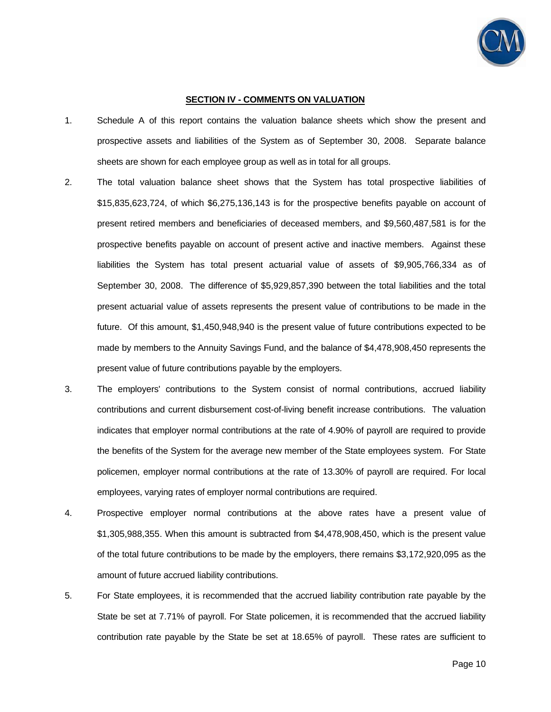

#### **SECTION IV - COMMENTS ON VALUATION**

- 1. Schedule A of this report contains the valuation balance sheets which show the present and prospective assets and liabilities of the System as of September 30, 2008. Separate balance sheets are shown for each employee group as well as in total for all groups.
- 2. The total valuation balance sheet shows that the System has total prospective liabilities of \$15,835,623,724, of which \$6,275,136,143 is for the prospective benefits payable on account of present retired members and beneficiaries of deceased members, and \$9,560,487,581 is for the prospective benefits payable on account of present active and inactive members. Against these liabilities the System has total present actuarial value of assets of \$9,905,766,334 as of September 30, 2008. The difference of \$5,929,857,390 between the total liabilities and the total present actuarial value of assets represents the present value of contributions to be made in the future. Of this amount, \$1,450,948,940 is the present value of future contributions expected to be made by members to the Annuity Savings Fund, and the balance of \$4,478,908,450 represents the present value of future contributions payable by the employers.
- 3. The employers' contributions to the System consist of normal contributions, accrued liability contributions and current disbursement cost-of-living benefit increase contributions. The valuation indicates that employer normal contributions at the rate of 4.90% of payroll are required to provide the benefits of the System for the average new member of the State employees system. For State policemen, employer normal contributions at the rate of 13.30% of payroll are required. For local employees, varying rates of employer normal contributions are required.
- 4. Prospective employer normal contributions at the above rates have a present value of \$1,305,988,355. When this amount is subtracted from \$4,478,908,450, which is the present value of the total future contributions to be made by the employers, there remains \$3,172,920,095 as the amount of future accrued liability contributions.
- 5. For State employees, it is recommended that the accrued liability contribution rate payable by the State be set at 7.71% of payroll. For State policemen, it is recommended that the accrued liability contribution rate payable by the State be set at 18.65% of payroll. These rates are sufficient to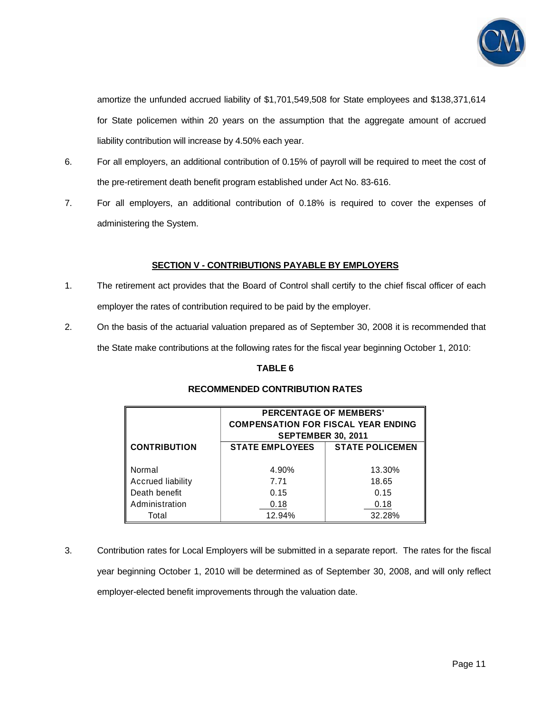

amortize the unfunded accrued liability of \$1,701,549,508 for State employees and \$138,371,614 for State policemen within 20 years on the assumption that the aggregate amount of accrued liability contribution will increase by 4.50% each year.

- 6. For all employers, an additional contribution of 0.15% of payroll will be required to meet the cost of the pre-retirement death benefit program established under Act No. 83-616.
- 7. For all employers, an additional contribution of 0.18% is required to cover the expenses of administering the System.

## **SECTION V - CONTRIBUTIONS PAYABLE BY EMPLOYERS**

- 1. The retirement act provides that the Board of Control shall certify to the chief fiscal officer of each employer the rates of contribution required to be paid by the employer.
- 2. On the basis of the actuarial valuation prepared as of September 30, 2008 it is recommended that the State make contributions at the following rates for the fiscal year beginning October 1, 2010:

## **TABLE 6**

|                                    | <b>PERCENTAGE OF MEMBERS'</b><br><b>COMPENSATION FOR FISCAL YEAR ENDING</b><br><b>SEPTEMBER 30, 2011</b> |                        |  |  |  |
|------------------------------------|----------------------------------------------------------------------------------------------------------|------------------------|--|--|--|
| <b>CONTRIBUTION</b>                | <b>STATE EMPLOYEES</b>                                                                                   | <b>STATE POLICEMEN</b> |  |  |  |
| Normal<br><b>Accrued liability</b> | 4.90%<br>7.71                                                                                            | 13.30%<br>18.65        |  |  |  |
| Death benefit                      | 0.15                                                                                                     | 0.15                   |  |  |  |
| Administration                     | 0.18                                                                                                     | 0.18                   |  |  |  |
| Total                              | 12.94%                                                                                                   | 32.28%                 |  |  |  |

# **RECOMMENDED CONTRIBUTION RATES**

3. Contribution rates for Local Employers will be submitted in a separate report. The rates for the fiscal year beginning October 1, 2010 will be determined as of September 30, 2008, and will only reflect employer-elected benefit improvements through the valuation date.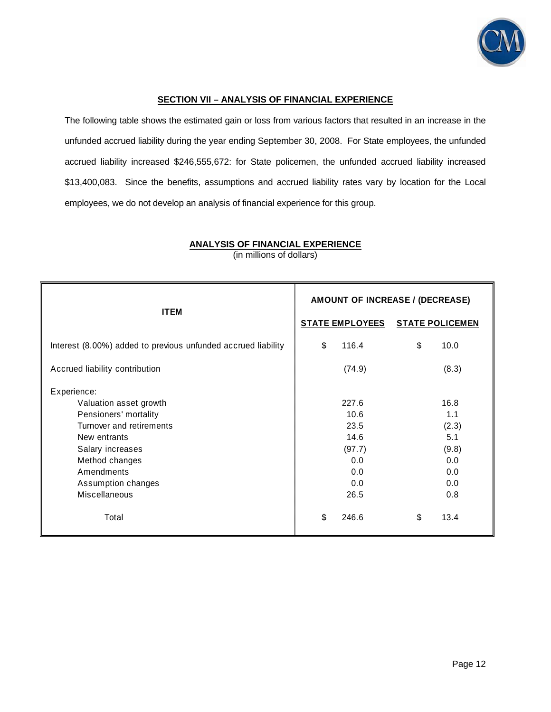

#### **SECTION VII – ANALYSIS OF FINANCIAL EXPERIENCE**

The following table shows the estimated gain or loss from various factors that resulted in an increase in the unfunded accrued liability during the year ending September 30, 2008. For State employees, the unfunded accrued liability increased \$246,555,672: for State policemen, the unfunded accrued liability increased \$13,400,083. Since the benefits, assumptions and accrued liability rates vary by location for the Local employees, we do not develop an analysis of financial experience for this group.

| <b>ITEM</b>                                                   | AMOUNT OF INCREASE / (DECREASE) |                        |
|---------------------------------------------------------------|---------------------------------|------------------------|
|                                                               | <b>STATE EMPLOYEES</b>          | <b>STATE POLICEMEN</b> |
| Interest (8.00%) added to previous unfunded accrued liability | \$<br>116.4                     | \$<br>10.0             |
| Accrued liability contribution                                | (74.9)                          | (8.3)                  |
| Experience:                                                   |                                 |                        |
| Valuation asset growth                                        | 227.6                           | 16.8                   |
| Pensioners' mortality                                         | 10.6                            | 1.1                    |
| Turnover and retirements                                      | 23.5                            | (2.3)                  |
| New entrants                                                  | 14.6                            | 5.1                    |
| Salary increases                                              | (97.7)                          | (9.8)                  |
| Method changes                                                | 0.0                             | 0.0                    |
| Amendments                                                    | 0.0                             | 0.0                    |
| Assumption changes                                            | 0.0                             | 0.0                    |
| <b>Miscellaneous</b>                                          | 26.5                            | 0.8                    |
| Total                                                         | \$<br>246.6                     | 13.4<br>\$             |

**ANALYSIS OF FINANCIAL EXPERIENCE** (in millions of dollars)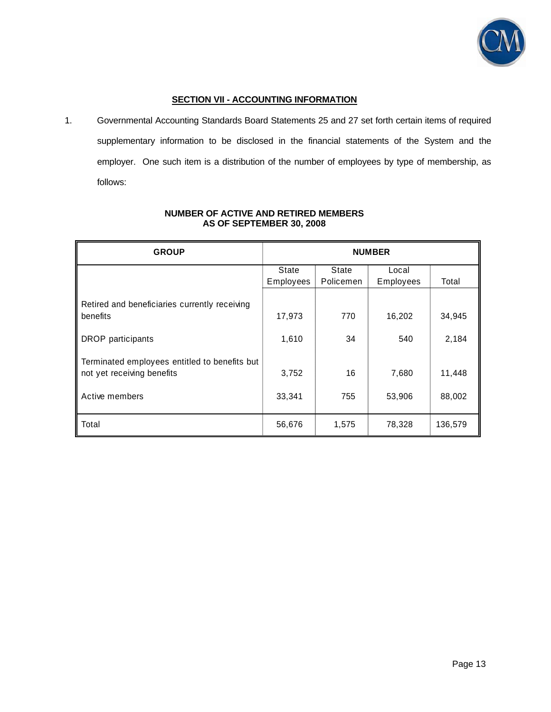

## **SECTION VII - ACCOUNTING INFORMATION**

1. Governmental Accounting Standards Board Statements 25 and 27 set forth certain items of required supplementary information to be disclosed in the financial statements of the System and the employer. One such item is a distribution of the number of employees by type of membership, as follows:

| <b>GROUP</b>                                                                | <b>NUMBER</b> |           |           |         |
|-----------------------------------------------------------------------------|---------------|-----------|-----------|---------|
|                                                                             | State         | State     | Local     |         |
|                                                                             | Employees     | Policemen | Employees | Total   |
| Retired and beneficiaries currently receiving                               |               |           |           |         |
| benefits                                                                    | 17,973        | 770       | 16,202    | 34,945  |
| <b>DROP</b> participants                                                    | 1,610         | 34        | 540       | 2,184   |
| Terminated employees entitled to benefits but<br>not yet receiving benefits | 3,752         | 16        | 7,680     | 11,448  |
| Active members                                                              | 33,341        | 755       | 53,906    | 88,002  |
| Total                                                                       | 56,676        | 1,575     | 78,328    | 136,579 |

#### **NUMBER OF ACTIVE AND RETIRED MEMBERS AS OF SEPTEMBER 30, 2008**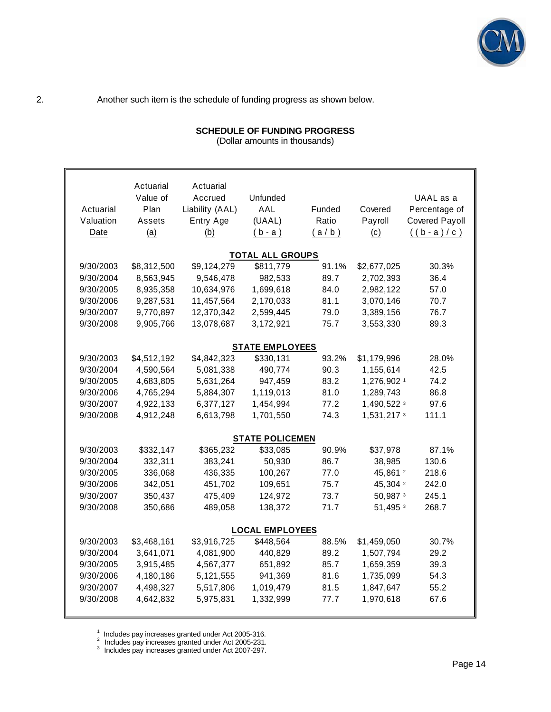

2. Another such item is the schedule of funding progress as shown below.

| <b>SCHEDULE OF FUNDING PROGRESS</b> |  |
|-------------------------------------|--|
|                                     |  |

(Dollar amounts in thousands)

|           | Actuarial   | Actuarial       |                         |        |                     |                       |
|-----------|-------------|-----------------|-------------------------|--------|---------------------|-----------------------|
|           | Value of    | Accrued         | Unfunded                |        |                     | UAAL as a             |
| Actuarial | Plan        | Liability (AAL) | AAL                     | Funded | Covered             | Percentage of         |
| Valuation | Assets      | Entry Age       | (UAAL)                  | Ratio  | Payroll             | <b>Covered Payoll</b> |
| Date      | (a)         | (b)             | $(b - a)$               | (a/b)  | (c)                 | $((b-a)/c)$           |
|           |             |                 |                         |        |                     |                       |
|           |             |                 | <b>TOTAL ALL GROUPS</b> |        |                     |                       |
| 9/30/2003 | \$8,312,500 | \$9,124,279     | \$811,779               | 91.1%  | \$2,677,025         | 30.3%                 |
| 9/30/2004 | 8,563,945   | 9,546,478       | 982,533                 | 89.7   | 2,702,393           | 36.4                  |
| 9/30/2005 | 8,935,358   | 10,634,976      | 1,699,618               | 84.0   | 2,982,122           | 57.0                  |
| 9/30/2006 | 9,287,531   | 11,457,564      | 2,170,033               | 81.1   | 3,070,146           | 70.7                  |
| 9/30/2007 | 9,770,897   | 12,370,342      | 2,599,445               | 79.0   | 3,389,156           | 76.7                  |
| 9/30/2008 | 9,905,766   | 13,078,687      | 3,172,921               | 75.7   | 3,553,330           | 89.3                  |
|           |             |                 |                         |        |                     |                       |
|           |             |                 | <b>STATE EMPLOYEES</b>  |        |                     |                       |
| 9/30/2003 | \$4,512,192 | \$4,842,323     | \$330,131               | 93.2%  | \$1,179,996         | 28.0%                 |
| 9/30/2004 | 4,590,564   | 5,081,338       | 490,774                 | 90.3   | 1,155,614           | 42.5                  |
| 9/30/2005 | 4,683,805   | 5,631,264       | 947,459                 | 83.2   | 1,276,902 1         | 74.2                  |
| 9/30/2006 | 4,765,294   | 5,884,307       | 1,119,013               | 81.0   | 1,289,743           | 86.8                  |
| 9/30/2007 | 4,922,133   | 6,377,127       | 1,454,994               | 77.2   | 1,490,522 3         | 97.6                  |
| 9/30/2008 | 4,912,248   | 6,613,798       | 1,701,550               | 74.3   | 1,531,217 3         | 111.1                 |
|           |             |                 | <b>STATE POLICEMEN</b>  |        |                     |                       |
| 9/30/2003 | \$332,147   | \$365,232       | \$33,085                | 90.9%  | \$37,978            | 87.1%                 |
| 9/30/2004 | 332,311     | 383,241         | 50,930                  | 86.7   | 38,985              | 130.6                 |
| 9/30/2005 | 336,068     | 436,335         | 100,267                 | 77.0   | 45,861 <sup>2</sup> | 218.6                 |
| 9/30/2006 | 342,051     | 451,702         | 109,651                 | 75.7   | 45,304 <sup>2</sup> | 242.0                 |
| 9/30/2007 | 350,437     | 475,409         | 124,972                 | 73.7   | 50,987 3            | 245.1                 |
| 9/30/2008 | 350,686     | 489,058         | 138,372                 | 71.7   | 51,495 3            | 268.7                 |
|           |             |                 |                         |        |                     |                       |
|           |             |                 | <b>LOCAL EMPLOYEES</b>  |        |                     |                       |
| 9/30/2003 | \$3,468,161 | \$3,916,725     | \$448,564               | 88.5%  | \$1,459,050         | 30.7%                 |
| 9/30/2004 | 3,641,071   | 4,081,900       | 440,829                 | 89.2   | 1,507,794           | 29.2                  |
| 9/30/2005 | 3,915,485   | 4,567,377       | 651,892                 | 85.7   | 1,659,359           | 39.3                  |
| 9/30/2006 | 4,180,186   | 5,121,555       | 941,369                 | 81.6   | 1,735,099           | 54.3                  |
| 9/30/2007 | 4,498,327   | 5,517,806       | 1,019,479               | 81.5   | 1,847,647           | 55.2                  |
| 9/30/2008 | 4,642,832   | 5,975,831       | 1,332,999               | 77.7   | 1,970,618           | 67.6                  |
|           |             |                 |                         |        |                     |                       |

<sup>1</sup> Includes pay increases granted under Act 2005-316.<br><sup>2</sup> Includes pay increases granted under Act 2005-231.

<sup>3</sup> Includes pay increases granted under Act 2007-297.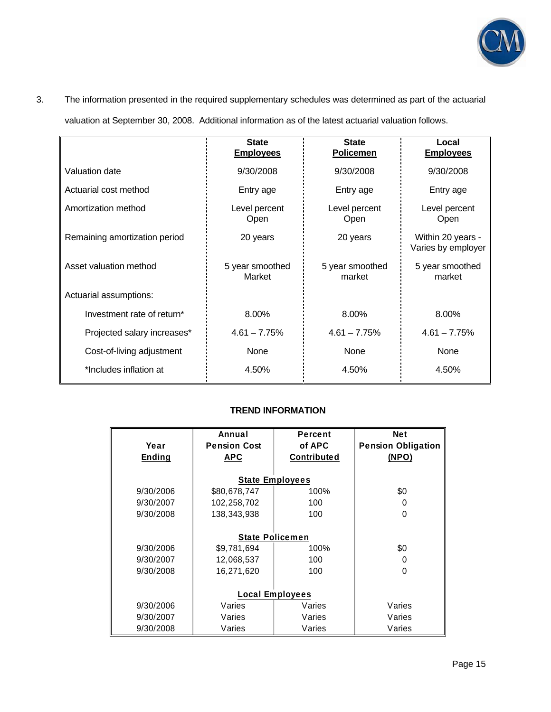

# 3. The information presented in the required supplementary schedules was determined as part of the actuarial

valuation at September 30, 2008. Additional information as of the latest actuarial valuation follows.

|                               | <b>State</b><br><b>Employees</b> | <b>State</b><br><b>Policemen</b> | Local<br><b>Employees</b>               |
|-------------------------------|----------------------------------|----------------------------------|-----------------------------------------|
| Valuation date                | 9/30/2008                        | 9/30/2008                        | 9/30/2008                               |
| Actuarial cost method         | Entry age                        | Entry age                        | Entry age                               |
| Amortization method           | Level percent<br><b>Open</b>     | Level percent<br><b>Open</b>     | Level percent<br>Open                   |
| Remaining amortization period | 20 years                         | 20 years                         | Within 20 years -<br>Varies by employer |
| Asset valuation method        | 5 year smoothed<br>Market        | 5 year smoothed<br>market        | 5 year smoothed<br>market               |
| Actuarial assumptions:        |                                  |                                  |                                         |
| Investment rate of return*    | 8.00%                            | 8.00%                            | 8.00%                                   |
| Projected salary increases*   | $4.61 - 7.75%$                   | $4.61 - 7.75%$                   | $4.61 - 7.75%$                          |
| Cost-of-living adjustment     | None                             | None                             | None                                    |
| *Includes inflation at        | 4.50%                            | 4.50%                            | 4.50%                                   |

# **TREND INFORMATION**

|               | Annual                 | Percent                | <b>Net</b>                |
|---------------|------------------------|------------------------|---------------------------|
| Year          | <b>Pension Cost</b>    | of APC                 | <b>Pension Obligation</b> |
| <b>Ending</b> | <b>APC</b>             | Contributed            | (NPO)                     |
|               |                        |                        |                           |
|               |                        | <b>State Employees</b> |                           |
| 9/30/2006     | \$80,678,747           | 100%                   | \$0                       |
| 9/30/2007     | 102,258,702            | 100                    | 0                         |
| 9/30/2008     | 138,343,938            | 100                    | 0                         |
|               |                        |                        |                           |
|               | <b>State Policemen</b> |                        |                           |
| 9/30/2006     | \$9,781,694            | 100%                   | \$0                       |
| 9/30/2007     | 12,068,537             | 100                    | 0                         |
| 9/30/2008     | 16,271,620             | 100                    | 0                         |
|               |                        |                        |                           |
|               | <b>Local Employees</b> |                        |                           |
| 9/30/2006     | Varies                 | Varies                 | Varies                    |
| 9/30/2007     | Varies                 | Varies                 | Varies                    |
| 9/30/2008     | Varies                 | Varies                 | Varies                    |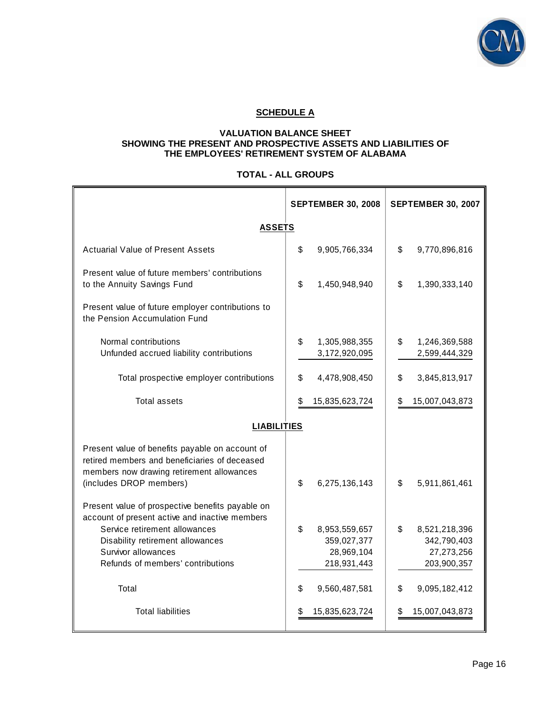

# **SCHEDULE A**

## **VALUATION BALANCE SHEET SHOWING THE PRESENT AND PROSPECTIVE ASSETS AND LIABILITIES OF THE EMPLOYEES' RETIREMENT SYSTEM OF ALABAMA**

## **TOTAL - ALL GROUPS**

|                                                                                                                                                                          | <b>SEPTEMBER 30, 2008</b>            | <b>SEPTEMBER 30, 2007</b>            |
|--------------------------------------------------------------------------------------------------------------------------------------------------------------------------|--------------------------------------|--------------------------------------|
| <b>ASSETS</b>                                                                                                                                                            |                                      |                                      |
| Actuarial Value of Present Assets                                                                                                                                        | \$<br>9,905,766,334                  | \$<br>9,770,896,816                  |
| Present value of future members' contributions<br>to the Annuity Savings Fund                                                                                            | \$<br>1,450,948,940                  | \$<br>1,390,333,140                  |
| Present value of future employer contributions to<br>the Pension Accumulation Fund                                                                                       |                                      |                                      |
| Normal contributions<br>Unfunded accrued liability contributions                                                                                                         | \$<br>1,305,988,355<br>3,172,920,095 | \$<br>1,246,369,588<br>2,599,444,329 |
| Total prospective employer contributions                                                                                                                                 | \$<br>4,478,908,450                  | \$<br>3,845,813,917                  |
| <b>Total assets</b>                                                                                                                                                      | \$<br>15,835,623,724                 | \$<br>15,007,043,873                 |
| <b>LIABILITIES</b>                                                                                                                                                       |                                      |                                      |
| Present value of benefits payable on account of<br>retired members and beneficiaries of deceased<br>members now drawing retirement allowances<br>(includes DROP members) | \$<br>6,275,136,143                  | \$<br>5,911,861,461                  |
| Present value of prospective benefits payable on<br>account of present active and inactive members<br>Service retirement allowances<br>Disability retirement allowances  | \$<br>8,953,559,657<br>359,027,377   | \$<br>8,521,218,396<br>342,790,403   |
| Survivor allowances<br>Refunds of members' contributions                                                                                                                 | 28,969,104<br>218,931,443            | 27,273,256<br>203,900,357            |
| Total                                                                                                                                                                    | \$<br>9,560,487,581                  | \$<br>9,095,182,412                  |
| <b>Total liabilities</b>                                                                                                                                                 | 15,835,623,724<br>S                  | 15,007,043,873<br>\$                 |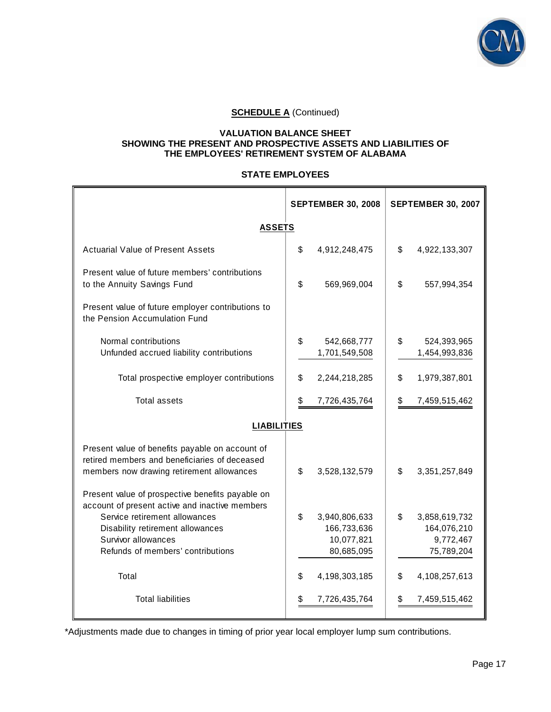

# **SCHEDULE A** (Continued)

#### **VALUATION BALANCE SHEET SHOWING THE PRESENT AND PROSPECTIVE ASSETS AND LIABILITIES OF THE EMPLOYEES' RETIREMENT SYSTEM OF ALABAMA**

## **STATE EMPLOYEES**

|                                                                                                                                               |                    | <b>SEPTEMBER 30, 2008</b> |                | <b>SEPTEMBER 30, 2007</b> |  |  |
|-----------------------------------------------------------------------------------------------------------------------------------------------|--------------------|---------------------------|----------------|---------------------------|--|--|
| <b>ASSETS</b>                                                                                                                                 |                    |                           |                |                           |  |  |
| <b>Actuarial Value of Present Assets</b>                                                                                                      | \$                 | 4,912,248,475             | \$             | 4,922,133,307             |  |  |
| Present value of future members' contributions<br>to the Annuity Savings Fund                                                                 | \$                 | 569,969,004               | \$             | 557,994,354               |  |  |
| Present value of future employer contributions to<br>the Pension Accumulation Fund                                                            |                    |                           |                |                           |  |  |
| Normal contributions                                                                                                                          | \$                 | 542,668,777               | \$             | 524,393,965               |  |  |
| Unfunded accrued liability contributions                                                                                                      |                    | 1,701,549,508             |                | 1,454,993,836             |  |  |
| Total prospective employer contributions                                                                                                      | \$                 | 2,244,218,285             | \$             | 1,979,387,801             |  |  |
| <b>Total assets</b>                                                                                                                           | \$                 | 7,726,435,764             | \$             | 7,459,515,462             |  |  |
|                                                                                                                                               | <b>LIABILITIES</b> |                           |                |                           |  |  |
| Present value of benefits payable on account of<br>retired members and beneficiaries of deceased<br>members now drawing retirement allowances | \$                 | 3,528,132,579             | $\mathfrak{S}$ | 3,351,257,849             |  |  |
| Present value of prospective benefits payable on<br>account of present active and inactive members                                            |                    |                           |                |                           |  |  |
| Service retirement allowances                                                                                                                 | \$                 | 3,940,806,633             | \$             | 3,858,619,732             |  |  |
| Disability retirement allowances<br>Survivor allowances                                                                                       |                    | 166,733,636<br>10,077,821 |                | 164,076,210<br>9,772,467  |  |  |
| Refunds of members' contributions                                                                                                             |                    | 80,685,095                |                | 75,789,204                |  |  |
| Total                                                                                                                                         | \$                 | 4, 198, 303, 185          | \$             | 4,108,257,613             |  |  |
| <b>Total liabilities</b>                                                                                                                      |                    | 7,726,435,764             |                | 7,459,515,462             |  |  |

\*Adjustments made due to changes in timing of prior year local employer lump sum contributions.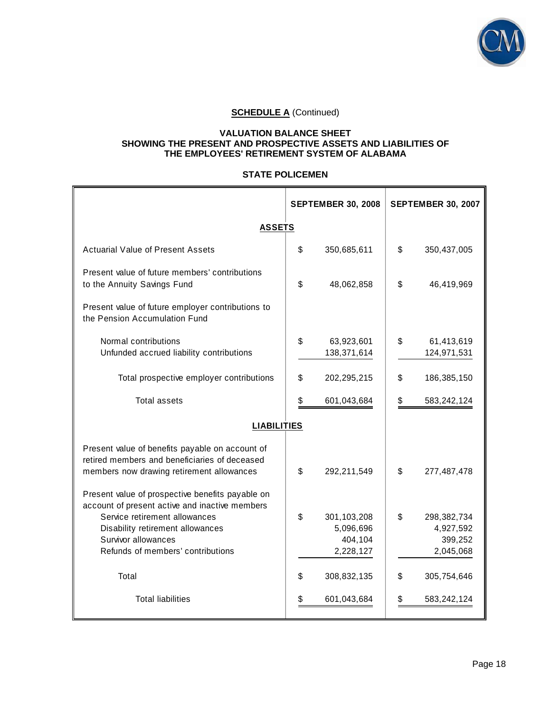

# **SCHEDULE A (Continued)**

#### **VALUATION BALANCE SHEET SHOWING THE PRESENT AND PROSPECTIVE ASSETS AND LIABILITIES OF THE EMPLOYEES' RETIREMENT SYSTEM OF ALABAMA**

## **STATE POLICEMEN**

|                                                                                                                                               | <b>SEPTEMBER 30, 2008</b> |                                                  | <b>SEPTEMBER 30, 2007</b>                              |
|-----------------------------------------------------------------------------------------------------------------------------------------------|---------------------------|--------------------------------------------------|--------------------------------------------------------|
| <b>ASSETS</b>                                                                                                                                 |                           |                                                  |                                                        |
| <b>Actuarial Value of Present Assets</b>                                                                                                      | \$                        | 350,685,611                                      | \$<br>350,437,005                                      |
| Present value of future members' contributions<br>to the Annuity Savings Fund                                                                 | \$                        | 48,062,858                                       | \$<br>46,419,969                                       |
| Present value of future employer contributions to<br>the Pension Accumulation Fund                                                            |                           |                                                  |                                                        |
| Normal contributions<br>Unfunded accrued liability contributions                                                                              | \$                        | 63,923,601<br>138,371,614                        | \$<br>61,413,619<br>124,971,531                        |
| Total prospective employer contributions                                                                                                      | \$                        | 202,295,215                                      | \$<br>186,385,150                                      |
| <b>Total assets</b>                                                                                                                           |                           | 601,043,684                                      | \$<br>583,242,124                                      |
| <b>LIABILITIES</b>                                                                                                                            |                           |                                                  |                                                        |
| Present value of benefits payable on account of<br>retired members and beneficiaries of deceased<br>members now drawing retirement allowances | \$                        | 292,211,549                                      | \$<br>277,487,478                                      |
| Present value of prospective benefits payable on<br>account of present active and inactive members                                            |                           |                                                  |                                                        |
| Service retirement allowances<br>Disability retirement allowances<br>Survivor allowances<br>Refunds of members' contributions                 | \$                        | 301,103,208<br>5,096,696<br>404,104<br>2,228,127 | \$<br>298,382,734<br>4,927,592<br>399,252<br>2,045,068 |
| Total                                                                                                                                         | \$                        | 308,832,135                                      | \$<br>305,754,646                                      |
| <b>Total liabilities</b>                                                                                                                      | \$                        | 601,043,684                                      | \$<br>583,242,124                                      |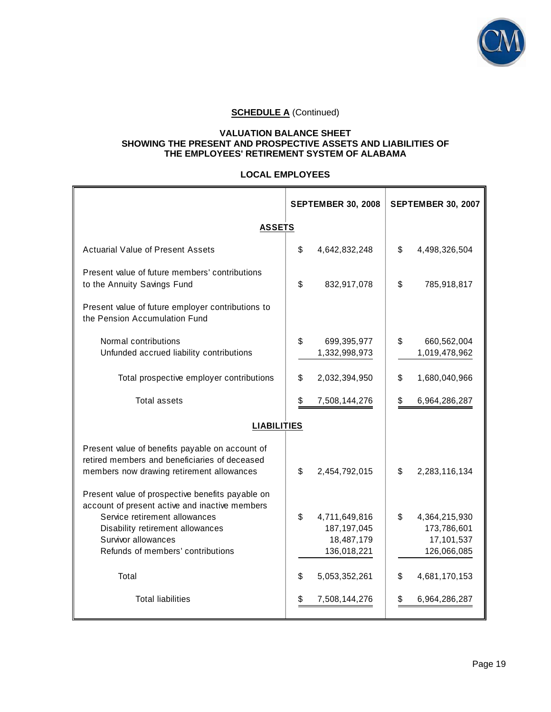

# **SCHEDULE A (Continued)**

#### **VALUATION BALANCE SHEET SHOWING THE PRESENT AND PROSPECTIVE ASSETS AND LIABILITIES OF THE EMPLOYEES' RETIREMENT SYSTEM OF ALABAMA**

#### **LOCAL EMPLOYEES**

|                                                                                                                                               | <b>SEPTEMBER 30, 2008</b> |                                | <b>SEPTEMBER 30, 2007</b>          |
|-----------------------------------------------------------------------------------------------------------------------------------------------|---------------------------|--------------------------------|------------------------------------|
| <b>ASSETS</b>                                                                                                                                 |                           |                                |                                    |
| <b>Actuarial Value of Present Assets</b>                                                                                                      | \$                        | 4,642,832,248                  | \$<br>4,498,326,504                |
| Present value of future members' contributions<br>to the Annuity Savings Fund                                                                 | \$                        | 832,917,078                    | \$<br>785,918,817                  |
| Present value of future employer contributions to<br>the Pension Accumulation Fund                                                            |                           |                                |                                    |
| Normal contributions<br>Unfunded accrued liability contributions                                                                              | \$                        | 699,395,977<br>1,332,998,973   | \$<br>660,562,004<br>1,019,478,962 |
| Total prospective employer contributions                                                                                                      | \$                        | 2,032,394,950                  | \$<br>1,680,040,966                |
| Total assets                                                                                                                                  | \$                        | 7,508,144,276                  | \$<br>6,964,286,287                |
| <b>LIABILITIES</b>                                                                                                                            |                           |                                |                                    |
| Present value of benefits payable on account of<br>retired members and beneficiaries of deceased<br>members now drawing retirement allowances | \$                        | 2,454,792,015                  | \$<br>2,283,116,134                |
| Present value of prospective benefits payable on<br>account of present active and inactive members<br>Service retirement allowances           |                           |                                |                                    |
| Disability retirement allowances                                                                                                              | \$                        | 4,711,649,816<br>187, 197, 045 | \$<br>4,364,215,930<br>173,786,601 |
| Survivor allowances                                                                                                                           |                           | 18,487,179                     | 17,101,537                         |
| Refunds of members' contributions                                                                                                             |                           | 136,018,221                    | 126,066,085                        |
| Total                                                                                                                                         | \$                        | 5,053,352,261                  | \$<br>4,681,170,153                |
| <b>Total liabilities</b>                                                                                                                      | \$                        | 7,508,144,276                  | \$<br>6,964,286,287                |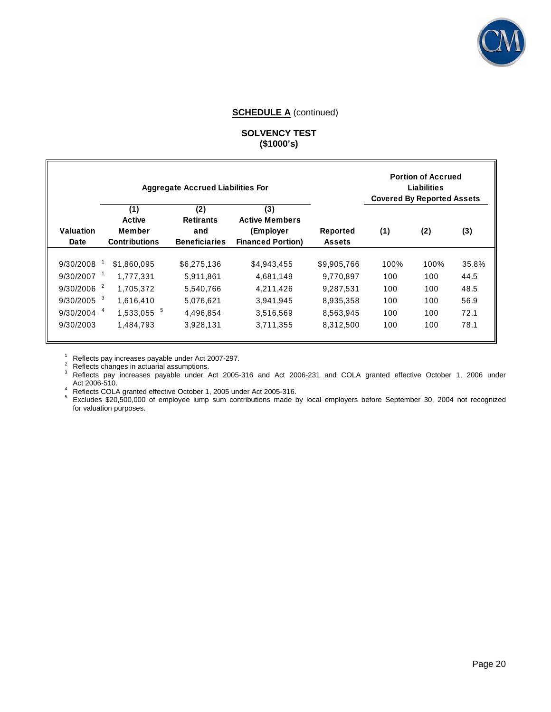

#### **SCHEDULE A** (continued)

## **SOLVENCY TEST (\$1000's)**

|                   |                                                        | <b>Aggregate Accrued Liabilities For</b>               |                                                                       |                                  | <b>Covered By Reported Assets</b> | <b>Portion of Accrued</b><br><b>Liabilities</b> |       |
|-------------------|--------------------------------------------------------|--------------------------------------------------------|-----------------------------------------------------------------------|----------------------------------|-----------------------------------|-------------------------------------------------|-------|
| Valuation<br>Date | (1)<br><b>Active</b><br>Member<br><b>Contributions</b> | (2)<br><b>Retirants</b><br>and<br><b>Beneficiaries</b> | (3)<br><b>Active Members</b><br>(Employer<br><b>Financed Portion)</b> | <b>Reported</b><br><b>Assets</b> | (1)                               | (2)                                             | (3)   |
| 9/30/2008         | \$1.860.095                                            | \$6.275.136                                            | \$4,943,455                                                           | \$9.905.766                      | 100%                              | 100%                                            | 35.8% |
| 9/30/2007         | 1.777.331                                              | 5.911.861                                              | 4.681.149                                                             | 9.770.897                        | 100                               | 100                                             | 44.5  |
| 2<br>9/30/2006    | 1.705.372                                              | 5.540.766                                              | 4,211,426                                                             | 9.287.531                        | 100                               | 100                                             | 48.5  |
| 3<br>9/30/2005    | 1.616.410                                              | 5.076.621                                              | 3.941.945                                                             | 8,935,358                        | 100                               | 100                                             | 56.9  |
| 9/30/2004         | 5<br>1,533,055                                         | 4.496.854                                              | 3,516,569                                                             | 8,563,945                        | 100                               | 100                                             | 72.1  |
| 9/30/2003         | 1,484,793                                              | 3,928,131                                              | 3,711,355                                                             | 8,312,500                        | 100                               | 100                                             | 78.1  |

<sup>1</sup> Reflects pay increases payable under Act 2007-297.<br><sup>2</sup> Reflects changes in actuarial assumptions.<br><sup>3</sup> Reflects pay increases payable under Act 2005-316 and Act 2006-231 and COLA granted effective October 1, 2006 under Act 2006-510.

A Reflects COLA granted effective October 1, 2005 under Act 2005-316.

Excludes \$20,500,000 of employee lump sum contributions made by local employers before September 30, 2004 not recognized for valuation purposes.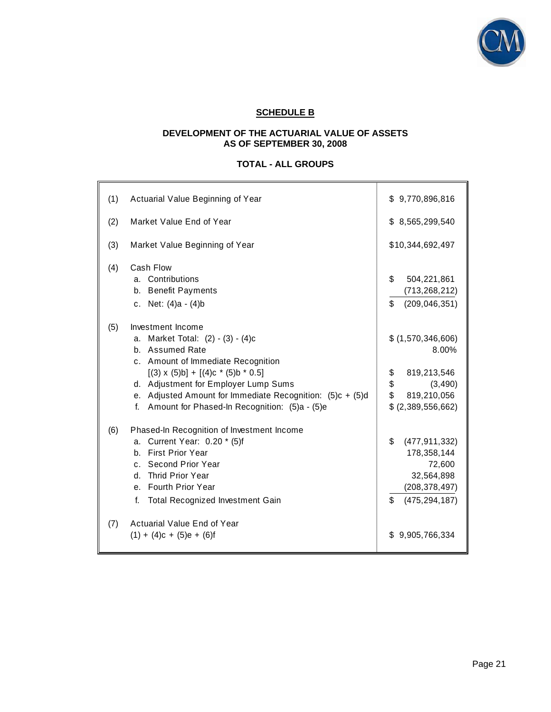

# **SCHEDULE B**

## **DEVELOPMENT OF THE ACTUARIAL VALUE OF ASSETS AS OF SEPTEMBER 30, 2008**

# **TOTAL - ALL GROUPS**

| (1) | Actuarial Value Beginning of Year                                                                                                                                                                                                                                                                                                               | \$9,770,896,816                                                                                              |
|-----|-------------------------------------------------------------------------------------------------------------------------------------------------------------------------------------------------------------------------------------------------------------------------------------------------------------------------------------------------|--------------------------------------------------------------------------------------------------------------|
| (2) | Market Value End of Year                                                                                                                                                                                                                                                                                                                        | \$8,565,299,540                                                                                              |
| (3) | Market Value Beginning of Year                                                                                                                                                                                                                                                                                                                  | \$10,344,692,497                                                                                             |
| (4) | Cash Flow<br>a. Contributions<br>b. Benefit Payments<br>c. Net: (4)a - (4)b                                                                                                                                                                                                                                                                     | \$<br>504,221,861<br>(713, 268, 212)<br>\$<br>(209, 046, 351)                                                |
| (5) | Investment Income<br>a. Market Total: (2) - (3) - (4)c<br>b. Assumed Rate<br>c. Amount of Immediate Recognition<br>$[(3) \times (5) \text{b}] + [(4) \text{c} * (5) \text{b} * 0.5]$<br>d. Adjustment for Employer Lump Sums<br>e. Adjusted Amount for Immediate Recognition: $(5)c + (5)d$<br>f. Amount for Phased-In Recognition: (5)a - (5)e | \$ (1,570,346,606)<br>8.00%<br>\$<br>819,213,546<br>\$<br>(3, 490)<br>\$<br>819,210,056<br>\$(2,389,556,662) |
| (6) | Phased-In Recognition of Investment Income<br>a. Current Year: 0.20 * (5)f<br>b. First Prior Year<br>c. Second Prior Year<br>d. Thrid Prior Year<br>e. Fourth Prior Year<br>Total Recognized Investment Gain<br>f.                                                                                                                              | \$<br>(477, 911, 332)<br>178,358,144<br>72,600<br>32,564,898<br>(208, 378, 497)<br>\$<br>(475, 294, 187)     |
| (7) | Actuarial Value End of Year<br>$(1) + (4)c + (5)e + (6)f$                                                                                                                                                                                                                                                                                       | 9,905,766,334<br>\$                                                                                          |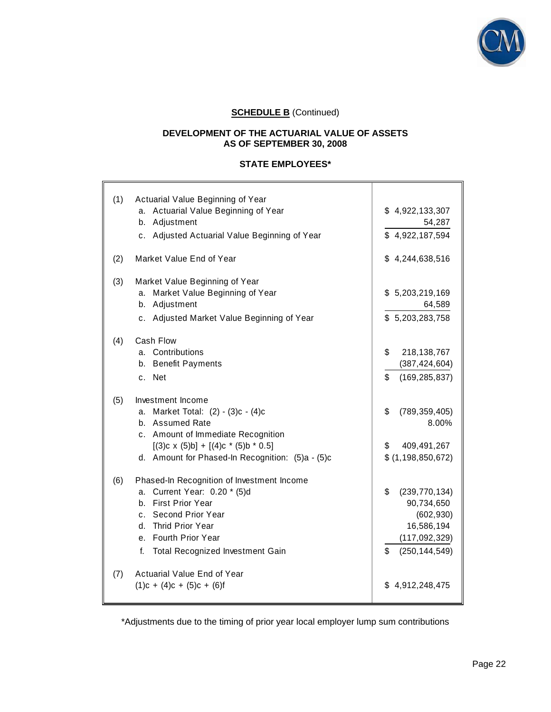

# **SCHEDULE B** (Continued)

## **DEVELOPMENT OF THE ACTUARIAL VALUE OF ASSETS AS OF SEPTEMBER 30, 2008**

## **STATE EMPLOYEES\***

| (1) | Actuarial Value Beginning of Year<br>a. Actuarial Value Beginning of Year<br>b. Adjustment<br>c. Adjusted Actuarial Value Beginning of Year                                                                                | \$4,922,133,307<br>54,287<br>\$4,922,187,594                                                                |
|-----|----------------------------------------------------------------------------------------------------------------------------------------------------------------------------------------------------------------------------|-------------------------------------------------------------------------------------------------------------|
| (2) | Market Value End of Year                                                                                                                                                                                                   | \$4,244,638,516                                                                                             |
| (3) | Market Value Beginning of Year<br>a. Market Value Beginning of Year<br>b. Adjustment<br>c. Adjusted Market Value Beginning of Year                                                                                         | \$5,203,219,169<br>64,589<br>\$5,203,283,758                                                                |
| (4) | Cash Flow<br>a. Contributions<br>b. Benefit Payments<br>c. Net                                                                                                                                                             | \$<br>218, 138, 767<br>(387, 424, 604)<br>\$<br>(169, 285, 837)                                             |
| (5) | Investment Income<br>a. Market Total: (2) - (3)c - (4)c<br>b. Assumed Rate<br>c. Amount of Immediate Recognition<br>$[(3)c \times (5)b] + [(4)c \cdot (5)b \cdot 0.5]$<br>d. Amount for Phased-In Recognition: (5)a - (5)c | \$<br>(789, 359, 405)<br>8.00%<br>\$<br>409,491,267<br>\$ (1, 198, 850, 672)                                |
| (6) | Phased-In Recognition of Investment Income<br>a. Current Year: 0.20 * (5)d<br>b. First Prior Year<br>c. Second Prior Year<br>d. Thrid Prior Year<br>e. Fourth Prior Year<br>f.<br>Total Recognized Investment Gain         | \$<br>(239, 770, 134)<br>90,734,650<br>(602, 930)<br>16,586,194<br>(117, 092, 329)<br>(250, 144, 549)<br>\$ |
| (7) | Actuarial Value End of Year<br>$(1)c + (4)c + (5)c + (6)f$                                                                                                                                                                 | 4,912,248,475<br>S.                                                                                         |

\*Adjustments due to the timing of prior year local employer lump sum contributions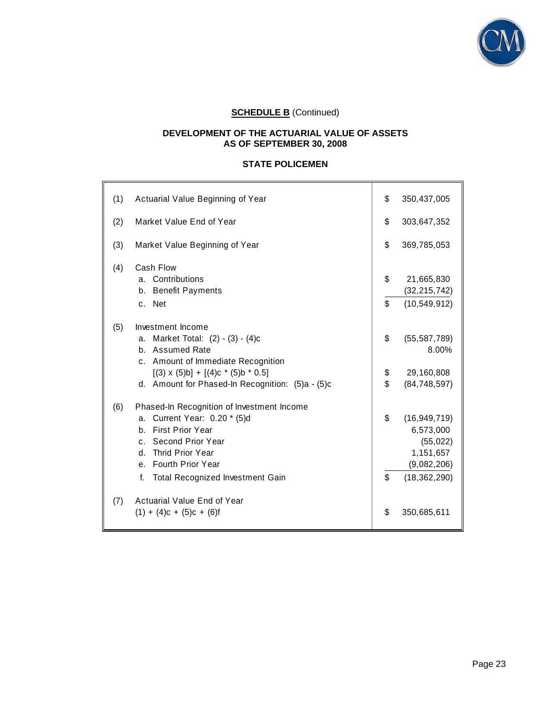

# **SCHEDULE B** (Continued)

## **DEVELOPMENT OF THE ACTUARIAL VALUE OF ASSETS AS OF SEPTEMBER 30, 2008**

# **STATE POLICEMEN**

| (1) | Actuarial Value Beginning of Year                                                                                                                                                                                               | \$             | 350,437,005                                                                            |
|-----|---------------------------------------------------------------------------------------------------------------------------------------------------------------------------------------------------------------------------------|----------------|----------------------------------------------------------------------------------------|
| (2) | Market Value End of Year                                                                                                                                                                                                        | \$             | 303,647,352                                                                            |
| (3) | Market Value Beginning of Year                                                                                                                                                                                                  | \$             | 369,785,053                                                                            |
| (4) | Cash Flow<br>a. Contributions<br>b. Benefit Payments<br>c. Net                                                                                                                                                                  | \$<br>\$       | 21,665,830<br>(32, 215, 742)<br>(10, 549, 912)                                         |
| (5) | Investment Income<br>a. Market Total: (2) - (3) - (4)c<br>b. Assumed Rate<br>c. Amount of Immediate Recognition<br>$[(3) \times (5)b] + [(4)c * (5)b * 0.5]$<br>d. Amount for Phased-In Recognition: (5)a - (5)c                | \$<br>\$<br>\$ | (55, 587, 789)<br>8.00%<br>29,160,808<br>(84, 748, 597)                                |
| (6) | Phased-In Recognition of Investment Income<br>a. Current Year: 0.20 * (5)d<br><b>First Prior Year</b><br>b.<br>c. Second Prior Year<br>Thrid Prior Year<br>d.<br>e. Fourth Prior Year<br>f.<br>Total Recognized Investment Gain | \$<br>\$       | (16, 949, 719)<br>6,573,000<br>(55, 022)<br>1,151,657<br>(9,082,206)<br>(18, 362, 290) |
| (7) | Actuarial Value End of Year<br>$(1) + (4)c + (5)c + (6)f$                                                                                                                                                                       | \$             | 350,685,611                                                                            |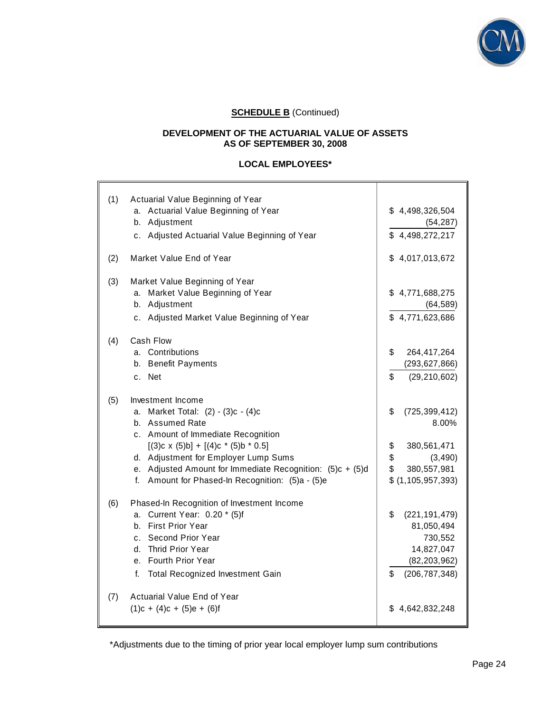

# **SCHEDULE B** (Continued)

## **DEVELOPMENT OF THE ACTUARIAL VALUE OF ASSETS AS OF SEPTEMBER 30, 2008**

## **LOCAL EMPLOYEES\***

| (1) | Actuarial Value Beginning of Year<br>a. Actuarial Value Beginning of Year<br>b. Adjustment<br>c. Adjusted Actuarial Value Beginning of Year                                                                                                                                                                                       | \$4,498,326,504<br>(54, 287)<br>\$4,498,272,217                                                                     |
|-----|-----------------------------------------------------------------------------------------------------------------------------------------------------------------------------------------------------------------------------------------------------------------------------------------------------------------------------------|---------------------------------------------------------------------------------------------------------------------|
| (2) | Market Value End of Year                                                                                                                                                                                                                                                                                                          | \$4,017,013,672                                                                                                     |
| (3) | Market Value Beginning of Year<br>a. Market Value Beginning of Year<br>b. Adjustment<br>c. Adjusted Market Value Beginning of Year                                                                                                                                                                                                | \$4,771,688,275<br>(64, 589)<br>\$4,771,623,686                                                                     |
| (4) | Cash Flow<br>a. Contributions<br>b. Benefit Payments<br>c. Net                                                                                                                                                                                                                                                                    | \$<br>264,417,264<br>(293, 627, 866)<br>\$<br>(29, 210, 602)                                                        |
| (5) | Investment Income<br>a. Market Total: (2) - (3)c - (4)c<br>b. Assumed Rate<br>c. Amount of Immediate Recognition<br>$[(3)c \times (5)b] + [(4)c \cdot (5)b \cdot 0.5]$<br>d. Adjustment for Employer Lump Sums<br>e. Adjusted Amount for Immediate Recognition: $(5)c + (5)d$<br>f. Amount for Phased-In Recognition: (5)a - (5)e | \$<br>(725, 399, 412)<br>8.00%<br>\$<br>380,561,471<br>\$<br>(3, 490)<br>\$<br>380,557,981<br>\$ (1, 105, 957, 393) |
| (6) | Phased-In Recognition of Investment Income<br>a. Current Year: 0.20 * (5)f<br>b. First Prior Year<br>c. Second Prior Year<br>d. Thrid Prior Year<br>e. Fourth Prior Year<br><b>Total Recognized Investment Gain</b><br>f.                                                                                                         | \$<br>(221, 191, 479)<br>81,050,494<br>730,552<br>14,827,047<br>(82, 203, 962)<br>\$<br>(206, 787, 348)             |
| (7) | Actuarial Value End of Year<br>$(1)c + (4)c + (5)e + (6)f$                                                                                                                                                                                                                                                                        | \$4,642,832,248                                                                                                     |

\*Adjustments due to the timing of prior year local employer lump sum contributions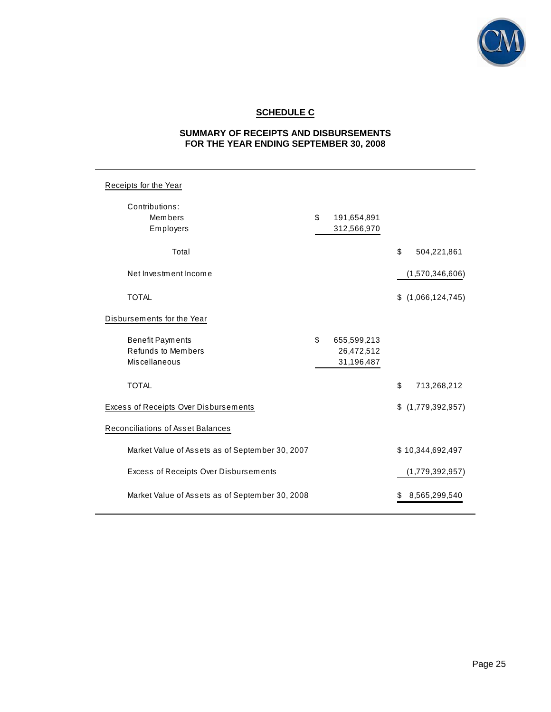

# **SCHEDULE C**

# **SUMMARY OF RECEIPTS AND DISBURSEMENTS FOR THE YEAR ENDING SEPTEMBER 30, 2008**

| Receipts for the Year                                                 |                                               |                       |
|-----------------------------------------------------------------------|-----------------------------------------------|-----------------------|
| Contributions:<br>Members<br>Employers                                | \$<br>191,654,891<br>312,566,970              |                       |
| Total                                                                 |                                               | \$<br>504,221,861     |
| Net Investment Income                                                 |                                               | (1,570,346,606)       |
| <b>TOTAL</b>                                                          |                                               | \$<br>(1,066,124,745) |
| Disbursements for the Year                                            |                                               |                       |
| <b>Benefit Payments</b><br><b>Refunds to Members</b><br>Miscellaneous | \$<br>655,599,213<br>26,472,512<br>31,196,487 |                       |
| <b>TOTAL</b>                                                          |                                               | \$<br>713,268,212     |
| Excess of Receipts Over Disbursements                                 |                                               | \$<br>(1,779,392,957) |
| Reconciliations of Asset Balances                                     |                                               |                       |
| Market Value of Assets as of September 30, 2007                       |                                               | \$10,344,692,497      |
| Excess of Receipts Over Disbursements                                 |                                               | (1,779,392,957)       |
| Market Value of Assets as of September 30, 2008                       |                                               | \$<br>8,565,299,540   |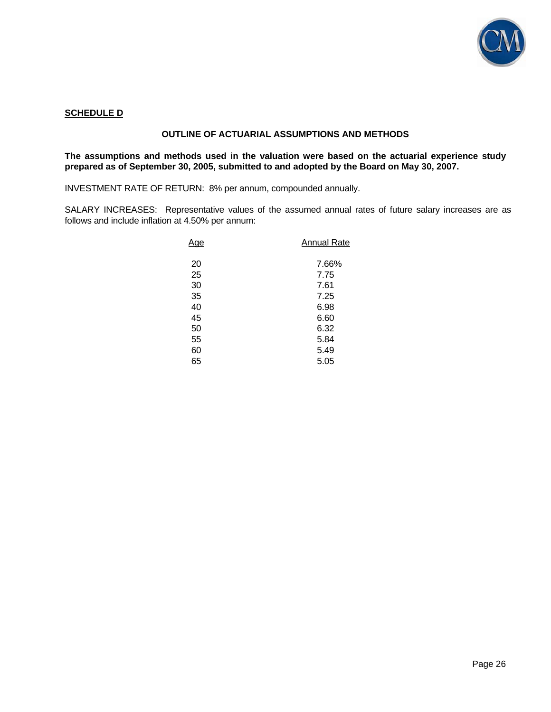

#### **SCHEDULE D**

## **OUTLINE OF ACTUARIAL ASSUMPTIONS AND METHODS**

**The assumptions and methods used in the valuation were based on the actuarial experience study prepared as of September 30, 2005, submitted to and adopted by the Board on May 30, 2007.** 

INVESTMENT RATE OF RETURN: 8% per annum, compounded annually.

SALARY INCREASES: Representative values of the assumed annual rates of future salary increases are as follows and include inflation at 4.50% per annum:

| Age | <b>Annual Rate</b> |
|-----|--------------------|
| 20  | 7.66%              |
| 25  | 7.75               |
| 30  | 7.61               |
| 35  | 7.25               |
| 40  | 6.98               |
| 45  | 6.60               |
| 50  | 6.32               |
| 55  | 5.84               |
| 60  | 5.49               |
| 65  | 5.05               |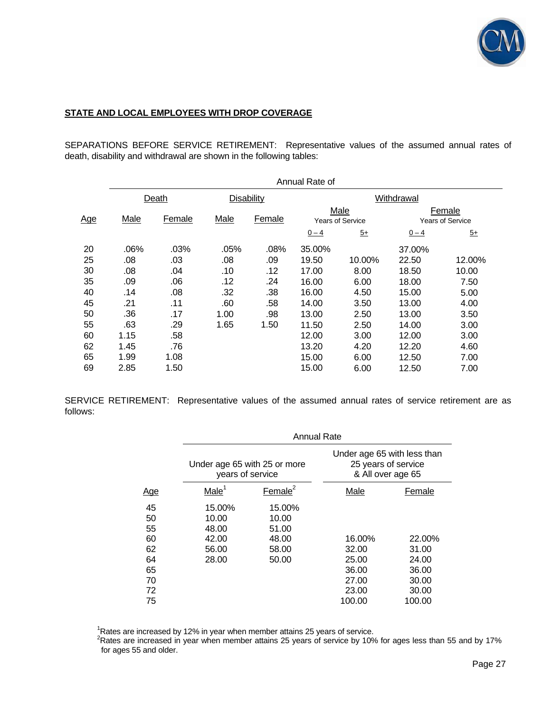

## **STATE AND LOCAL EMPLOYEES WITH DROP COVERAGE**

SEPARATIONS BEFORE SERVICE RETIREMENT: Representative values of the assumed annual rates of death, disability and withdrawal are shown in the following tables:

|            | Annual Rate of |        |                   |        |         |                                 |            |                                   |
|------------|----------------|--------|-------------------|--------|---------|---------------------------------|------------|-----------------------------------|
|            |                | Death  | <b>Disability</b> |        |         |                                 | Withdrawal |                                   |
| <u>Age</u> | Male           | Female | Male              | Female |         | Male<br><b>Years of Service</b> |            | Female<br><b>Years of Service</b> |
|            |                |        |                   |        | $0 - 4$ | $\overline{5+}$                 | $0 - 4$    | $5+$                              |
| 20         | .06%           | .03%   | .05%              | .08%   | 35.00%  |                                 | 37.00%     |                                   |
| 25         | .08            | .03    | .08               | .09    | 19.50   | 10.00%                          | 22.50      | 12.00%                            |
| 30         | .08            | .04    | .10               | .12    | 17.00   | 8.00                            | 18.50      | 10.00                             |
| 35         | .09            | .06    | .12               | .24    | 16.00   | 6.00                            | 18.00      | 7.50                              |
| 40         | .14            | .08    | .32               | .38    | 16.00   | 4.50                            | 15.00      | 5.00                              |
| 45         | .21            | .11    | .60               | .58    | 14.00   | 3.50                            | 13.00      | 4.00                              |
| 50         | .36            | .17    | 1.00              | .98    | 13.00   | 2.50                            | 13.00      | 3.50                              |
| 55         | .63            | .29    | 1.65              | 1.50   | 11.50   | 2.50                            | 14.00      | 3.00                              |
| 60         | 1.15           | .58    |                   |        | 12.00   | 3.00                            | 12.00      | 3.00                              |
| 62         | 1.45           | .76    |                   |        | 13.20   | 4.20                            | 12.20      | 4.60                              |
| 65         | 1.99           | 1.08   |                   |        | 15.00   | 6.00                            | 12.50      | 7.00                              |
| 69         | 2.85           | 1.50   |                   |        | 15.00   | 6.00                            | 12.50      | 7.00                              |

SERVICE RETIREMENT: Representative values of the assumed annual rates of service retirement are as follows:

|                                                          | <b>Annual Rate</b>                                  |                                                     |                                                                         |                                                               |  |  |  |  |
|----------------------------------------------------------|-----------------------------------------------------|-----------------------------------------------------|-------------------------------------------------------------------------|---------------------------------------------------------------|--|--|--|--|
|                                                          | Under age 65 with 25 or more<br>years of service    |                                                     | Under age 65 with less than<br>25 years of service<br>& All over age 65 |                                                               |  |  |  |  |
| <u>Age</u>                                               | Male <sup>1</sup>                                   | Female $2$                                          | Male                                                                    | Female                                                        |  |  |  |  |
| 45<br>50<br>55<br>60<br>62<br>64<br>65<br>70<br>72<br>75 | 15.00%<br>10.00<br>48.00<br>42.00<br>56.00<br>28.00 | 15.00%<br>10.00<br>51.00<br>48.00<br>58.00<br>50.00 | 16.00%<br>32.00<br>25.00<br>36.00<br>27.00<br>23.00<br>100.00           | 22.00%<br>31.00<br>24.00<br>36.00<br>30.00<br>30.00<br>100.00 |  |  |  |  |

<sup>1</sup>Rates are increased by 12% in year when member attains 25 years of service.<br><sup>2</sup>Rates are increased in year when member attains 25 years of service by 10% for ages less than 55 and by 17% for ages 55 and older.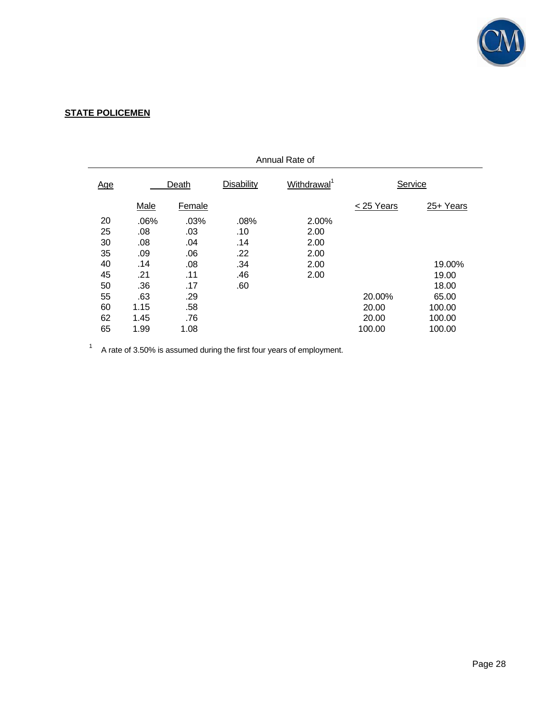

# **STATE POLICEMEN**

| Annual Rate of |      |        |            |                         |           |           |
|----------------|------|--------|------------|-------------------------|-----------|-----------|
| <u>Age</u>     |      | Death  | Disability | Withdrawal <sup>1</sup> | Service   |           |
|                | Male | Female |            |                         | <25 Years | 25+ Years |
| 20             | .06% | .03%   | .08%       | 2.00%                   |           |           |
| 25             | .08  | .03    | .10        | 2.00                    |           |           |
| 30             | .08  | .04    | .14        | 2.00                    |           |           |
| 35             | .09  | .06    | .22        | 2.00                    |           |           |
| 40             | .14  | .08    | .34        | 2.00                    |           | 19.00%    |
| 45             | .21  | .11    | .46        | 2.00                    |           | 19.00     |
| 50             | .36  | .17    | .60        |                         |           | 18.00     |
| 55             | .63  | .29    |            |                         | 20.00%    | 65.00     |
| 60             | 1.15 | .58    |            |                         | 20.00     | 100.00    |
| 62             | 1.45 | .76    |            |                         | 20.00     | 100.00    |
| 65             | 1.99 | 1.08   |            |                         | 100.00    | 100.00    |

 $1$  A rate of 3.50% is assumed during the first four years of employment.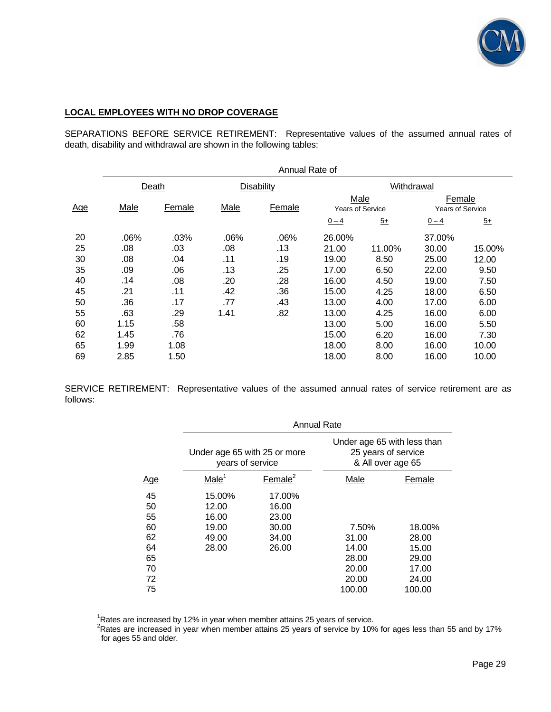

## **LOCAL EMPLOYEES WITH NO DROP COVERAGE**

SEPARATIONS BEFORE SERVICE RETIREMENT: Representative values of the assumed annual rates of death, disability and withdrawal are shown in the following tables:

|            | Annual Rate of |        |      |            |                                 |        |                                   |                 |
|------------|----------------|--------|------|------------|---------------------------------|--------|-----------------------------------|-----------------|
|            |                | Death  |      | Disability |                                 |        | Withdrawal                        |                 |
| <u>Age</u> | Male           | Female | Male | Female     | Male<br><b>Years of Service</b> |        | Female<br><b>Years of Service</b> |                 |
|            |                |        |      |            | $0 - 4$                         | $5+$   | $0 - 4$                           | $\overline{5+}$ |
| 20         | .06%           | .03%   | .06% | .06%       | 26.00%                          |        | 37.00%                            |                 |
| 25         | .08            | .03    | .08  | .13        | 21.00                           | 11.00% | 30.00                             | 15.00%          |
| 30         | .08            | .04    | .11  | .19        | 19.00                           | 8.50   | 25.00                             | 12.00           |
| 35         | .09            | .06    | .13  | .25        | 17.00                           | 6.50   | 22.00                             | 9.50            |
| 40         | .14            | .08    | .20  | .28        | 16.00                           | 4.50   | 19.00                             | 7.50            |
| 45         | .21            | .11    | .42  | .36        | 15.00                           | 4.25   | 18.00                             | 6.50            |
| 50         | .36            | .17    | .77  | .43        | 13.00                           | 4.00   | 17.00                             | 6.00            |
| 55         | .63            | .29    | 1.41 | .82        | 13.00                           | 4.25   | 16.00                             | 6.00            |
| 60         | 1.15           | .58    |      |            | 13.00                           | 5.00   | 16.00                             | 5.50            |
| 62         | 1.45           | .76    |      |            | 15.00                           | 6.20   | 16.00                             | 7.30            |
| 65         | 1.99           | 1.08   |      |            | 18.00                           | 8.00   | 16.00                             | 10.00           |
| 69         | 2.85           | 1.50   |      |            | 18.00                           | 8.00   | 16.00                             | 10.00           |

SERVICE RETIREMENT: Representative values of the assumed annual rates of service retirement are as follows:

|                                                    |                                                     | <b>Annual Rate</b>                                  |                                                                         |                                                     |  |  |  |  |  |
|----------------------------------------------------|-----------------------------------------------------|-----------------------------------------------------|-------------------------------------------------------------------------|-----------------------------------------------------|--|--|--|--|--|
|                                                    | Under age 65 with 25 or more<br>years of service    |                                                     | Under age 65 with less than<br>25 years of service<br>& All over age 65 |                                                     |  |  |  |  |  |
| <u>Age</u>                                         | Male <sup>1</sup>                                   | Female $2$                                          | Male                                                                    | Female                                              |  |  |  |  |  |
| 45<br>50<br>55<br>60<br>62<br>64<br>65<br>70<br>72 | 15.00%<br>12.00<br>16.00<br>19.00<br>49.00<br>28.00 | 17.00%<br>16.00<br>23.00<br>30.00<br>34.00<br>26.00 | 7.50%<br>31.00<br>14.00<br>28.00<br>20.00<br>20.00                      | 18.00%<br>28.00<br>15.00<br>29.00<br>17.00<br>24.00 |  |  |  |  |  |
| 75                                                 |                                                     |                                                     | 100.00                                                                  | 100.00                                              |  |  |  |  |  |

<sup>1</sup>Rates are increased by 12% in year when member attains 25 years of service.<br><sup>2</sup>Rates are increased in year when member attains 25 years of service by 10% for ages less than 55 and by 17% for ages 55 and older.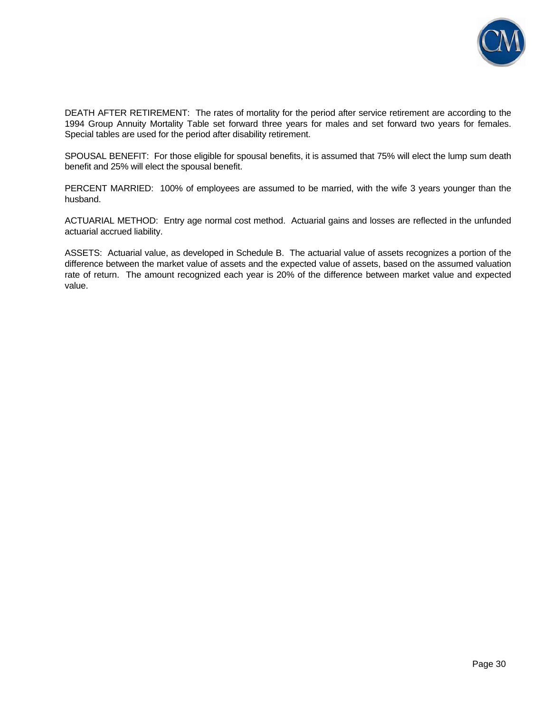

DEATH AFTER RETIREMENT: The rates of mortality for the period after service retirement are according to the 1994 Group Annuity Mortality Table set forward three years for males and set forward two years for females. Special tables are used for the period after disability retirement.

SPOUSAL BENEFIT: For those eligible for spousal benefits, it is assumed that 75% will elect the lump sum death benefit and 25% will elect the spousal benefit.

PERCENT MARRIED: 100% of employees are assumed to be married, with the wife 3 years younger than the husband.

ACTUARIAL METHOD: Entry age normal cost method. Actuarial gains and losses are reflected in the unfunded actuarial accrued liability.

ASSETS: Actuarial value, as developed in Schedule B. The actuarial value of assets recognizes a portion of the difference between the market value of assets and the expected value of assets, based on the assumed valuation rate of return. The amount recognized each year is 20% of the difference between market value and expected value.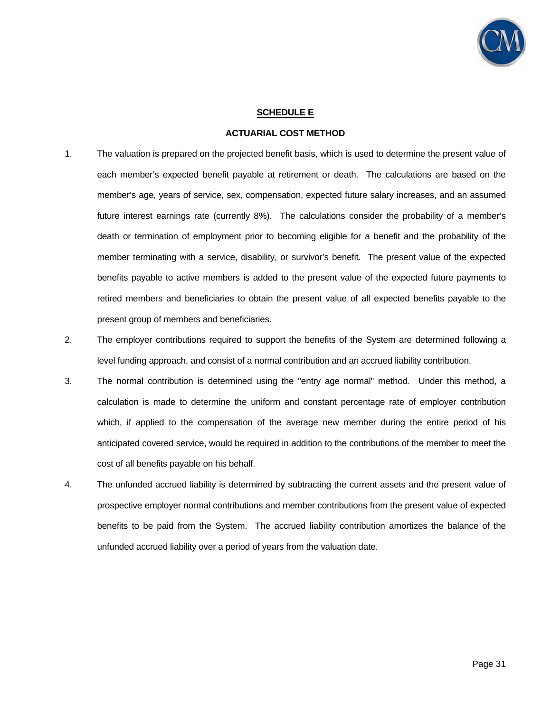

#### **SCHEDULE E**

#### **ACTUARIAL COST METHOD**

- 1. The valuation is prepared on the projected benefit basis, which is used to determine the present value of each member's expected benefit payable at retirement or death. The calculations are based on the member's age, years of service, sex, compensation, expected future salary increases, and an assumed future interest earnings rate (currently 8%). The calculations consider the probability of a member's death or termination of employment prior to becoming eligible for a benefit and the probability of the member terminating with a service, disability, or survivor's benefit. The present value of the expected benefits payable to active members is added to the present value of the expected future payments to retired members and beneficiaries to obtain the present value of all expected benefits payable to the present group of members and beneficiaries.
- 2. The employer contributions required to support the benefits of the System are determined following a level funding approach, and consist of a normal contribution and an accrued liability contribution.
- 3. The normal contribution is determined using the "entry age normal" method. Under this method, a calculation is made to determine the uniform and constant percentage rate of employer contribution which, if applied to the compensation of the average new member during the entire period of his anticipated covered service, would be required in addition to the contributions of the member to meet the cost of all benefits payable on his behalf.
- 4. The unfunded accrued liability is determined by subtracting the current assets and the present value of prospective employer normal contributions and member contributions from the present value of expected benefits to be paid from the System. The accrued liability contribution amortizes the balance of the unfunded accrued liability over a period of years from the valuation date.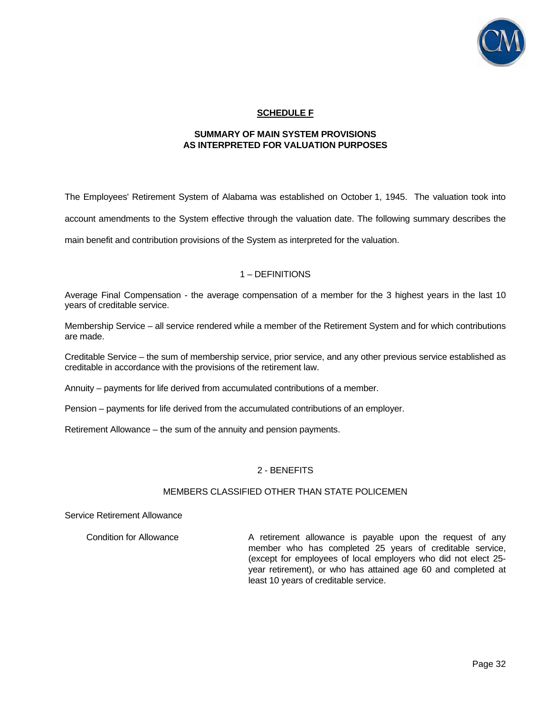

# **SCHEDULE F**

#### **SUMMARY OF MAIN SYSTEM PROVISIONS AS INTERPRETED FOR VALUATION PURPOSES**

The Employees' Retirement System of Alabama was established on October 1, 1945. The valuation took into account amendments to the System effective through the valuation date. The following summary describes the main benefit and contribution provisions of the System as interpreted for the valuation.

## 1 – DEFINITIONS

Average Final Compensation - the average compensation of a member for the 3 highest years in the last 10 years of creditable service.

Membership Service – all service rendered while a member of the Retirement System and for which contributions are made.

Creditable Service – the sum of membership service, prior service, and any other previous service established as creditable in accordance with the provisions of the retirement law.

Annuity – payments for life derived from accumulated contributions of a member.

Pension – payments for life derived from the accumulated contributions of an employer.

Retirement Allowance – the sum of the annuity and pension payments.

## 2 - BENEFITS

#### MEMBERS CLASSIFIED OTHER THAN STATE POLICEMEN

#### Service Retirement Allowance

Condition for Allowance **A** retirement allowance is payable upon the request of any member who has completed 25 years of creditable service, (except for employees of local employers who did not elect 25 year retirement), or who has attained age 60 and completed at least 10 years of creditable service.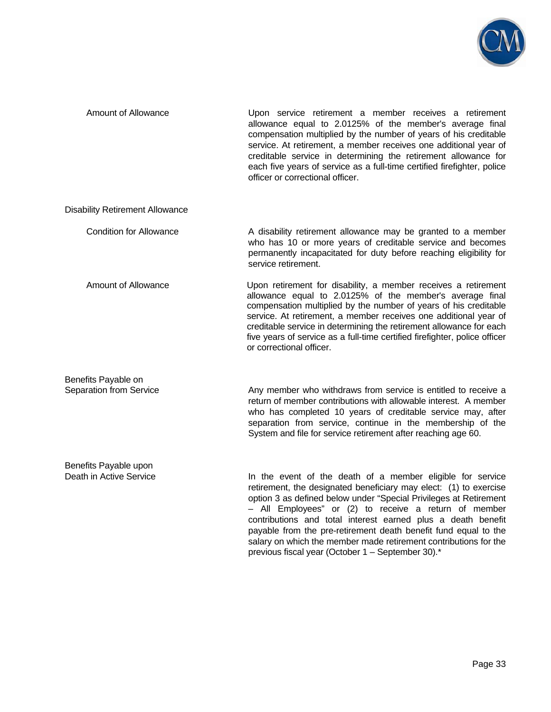

| <b>Amount of Allowance</b>                       | Upon service retirement a member receives a retirement<br>allowance equal to 2.0125% of the member's average final<br>compensation multiplied by the number of years of his creditable<br>service. At retirement, a member receives one additional year of<br>creditable service in determining the retirement allowance for<br>each five years of service as a full-time certified firefighter, police<br>officer or correctional officer.                          |
|--------------------------------------------------|----------------------------------------------------------------------------------------------------------------------------------------------------------------------------------------------------------------------------------------------------------------------------------------------------------------------------------------------------------------------------------------------------------------------------------------------------------------------|
| <b>Disability Retirement Allowance</b>           |                                                                                                                                                                                                                                                                                                                                                                                                                                                                      |
| <b>Condition for Allowance</b>                   | A disability retirement allowance may be granted to a member<br>who has 10 or more years of creditable service and becomes<br>permanently incapacitated for duty before reaching eligibility for<br>service retirement.                                                                                                                                                                                                                                              |
| Amount of Allowance                              | Upon retirement for disability, a member receives a retirement<br>allowance equal to 2.0125% of the member's average final<br>compensation multiplied by the number of years of his creditable<br>service. At retirement, a member receives one additional year of<br>creditable service in determining the retirement allowance for each<br>five years of service as a full-time certified firefighter, police officer<br>or correctional officer.                  |
| Benefits Payable on<br>Separation from Service   | Any member who withdraws from service is entitled to receive a<br>return of member contributions with allowable interest. A member<br>who has completed 10 years of creditable service may, after<br>separation from service, continue in the membership of the<br>System and file for service retirement after reaching age 60.                                                                                                                                     |
| Benefits Payable upon<br>Death in Active Service | In the event of the death of a member eligible for service<br>retirement, the designated beneficiary may elect: (1) to exercise<br>option 3 as defined below under "Special Privileges at Retirement<br>- All Employees" or (2) to receive a return of member<br>contributions and total interest earned plus a death benefit<br>payable from the pre-retirement death benefit fund equal to the<br>salary on which the member made retirement contributions for the |

previous fiscal year (October 1 – September 30).\*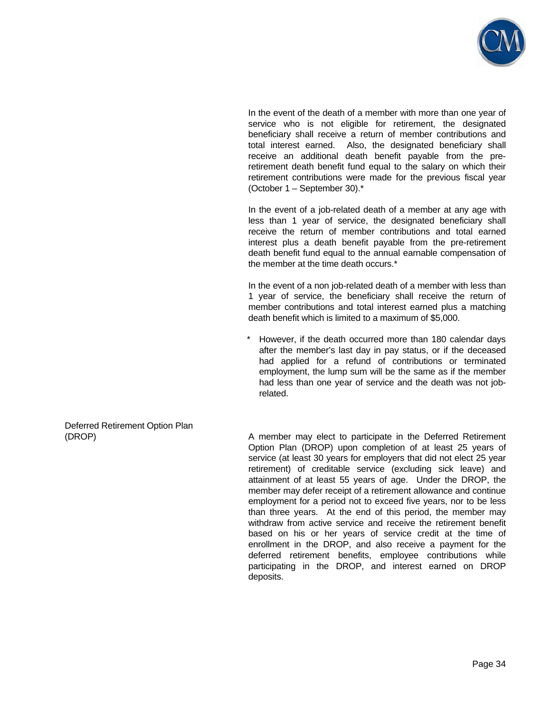

 In the event of the death of a member with more than one year of service who is not eligible for retirement, the designated beneficiary shall receive a return of member contributions and total interest earned. Also, the designated beneficiary shall receive an additional death benefit payable from the preretirement death benefit fund equal to the salary on which their retirement contributions were made for the previous fiscal year (October 1 – September 30).\*

 In the event of a job-related death of a member at any age with less than 1 year of service, the designated beneficiary shall receive the return of member contributions and total earned interest plus a death benefit payable from the pre-retirement death benefit fund equal to the annual earnable compensation of the member at the time death occurs.\*

 In the event of a non job-related death of a member with less than 1 year of service, the beneficiary shall receive the return of member contributions and total interest earned plus a matching death benefit which is limited to a maximum of \$5,000.

However, if the death occurred more than 180 calendar days after the member's last day in pay status, or if the deceased had applied for a refund of contributions or terminated employment, the lump sum will be the same as if the member had less than one year of service and the death was not jobrelated.

Deferred Retirement Option Plan

(DROP) A member may elect to participate in the Deferred Retirement Option Plan (DROP) upon completion of at least 25 years of service (at least 30 years for employers that did not elect 25 year retirement) of creditable service (excluding sick leave) and attainment of at least 55 years of age. Under the DROP, the member may defer receipt of a retirement allowance and continue employment for a period not to exceed five years, nor to be less than three years. At the end of this period, the member may withdraw from active service and receive the retirement benefit based on his or her years of service credit at the time of enrollment in the DROP, and also receive a payment for the deferred retirement benefits, employee contributions while participating in the DROP, and interest earned on DROP deposits.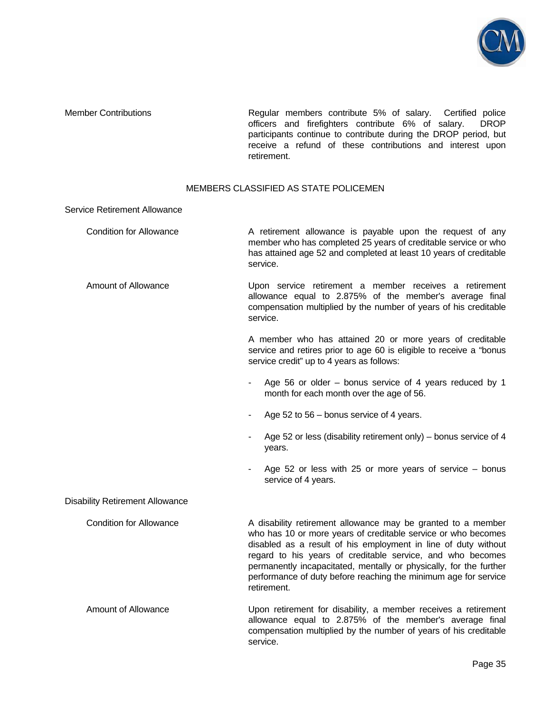

Member Contributions Regular members contribute 5% of salary. Certified police officers and firefighters contribute 6% of salary. DROP participants continue to contribute during the DROP period, but receive a refund of these contributions and interest upon retirement.

## MEMBERS CLASSIFIED AS STATE POLICEMEN

| <b>Service Retirement Allowance</b>    |                                                                                                                                                                                                                                                                                                                                                                                                                       |
|----------------------------------------|-----------------------------------------------------------------------------------------------------------------------------------------------------------------------------------------------------------------------------------------------------------------------------------------------------------------------------------------------------------------------------------------------------------------------|
| <b>Condition for Allowance</b>         | A retirement allowance is payable upon the request of any<br>member who has completed 25 years of creditable service or who<br>has attained age 52 and completed at least 10 years of creditable<br>service.                                                                                                                                                                                                          |
| Amount of Allowance                    | Upon service retirement a member receives a retirement<br>allowance equal to 2.875% of the member's average final<br>compensation multiplied by the number of years of his creditable<br>service.                                                                                                                                                                                                                     |
|                                        | A member who has attained 20 or more years of creditable<br>service and retires prior to age 60 is eligible to receive a "bonus<br>service credit" up to 4 years as follows:                                                                                                                                                                                                                                          |
|                                        | Age 56 or older – bonus service of 4 years reduced by 1<br>$\blacksquare$<br>month for each month over the age of 56.                                                                                                                                                                                                                                                                                                 |
|                                        | Age 52 to 56 – bonus service of 4 years.                                                                                                                                                                                                                                                                                                                                                                              |
|                                        | Age 52 or less (disability retirement only) – bonus service of 4<br>۰.<br>years.                                                                                                                                                                                                                                                                                                                                      |
|                                        | Age 52 or less with 25 or more years of service $-$ bonus<br>service of 4 years.                                                                                                                                                                                                                                                                                                                                      |
| <b>Disability Retirement Allowance</b> |                                                                                                                                                                                                                                                                                                                                                                                                                       |
| <b>Condition for Allowance</b>         | A disability retirement allowance may be granted to a member<br>who has 10 or more years of creditable service or who becomes<br>disabled as a result of his employment in line of duty without<br>regard to his years of creditable service, and who becomes<br>permanently incapacitated, mentally or physically, for the further<br>performance of duty before reaching the minimum age for service<br>retirement. |
| <b>Amount of Allowance</b>             | Upon retirement for disability, a member receives a retirement<br>allowance equal to 2.875% of the member's average final<br>compensation multiplied by the number of years of his creditable<br>service.                                                                                                                                                                                                             |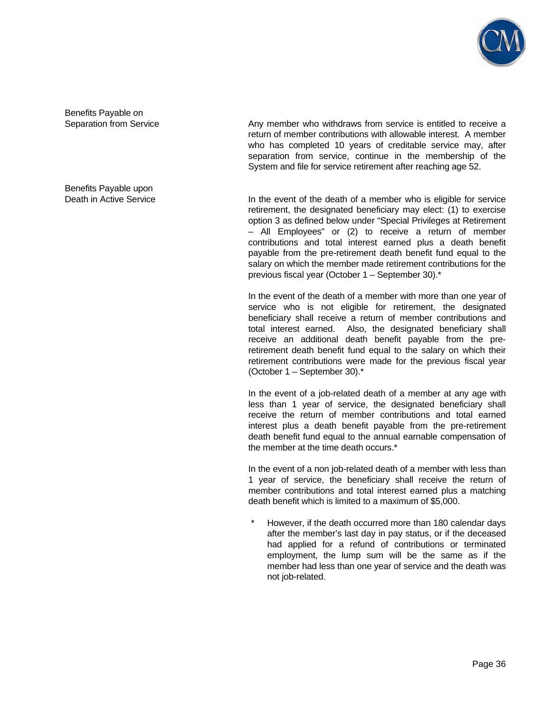

Benefits Payable on

Benefits Payable upon

Separation from Service **Any member who withdraws from service is entitled to receive a** Any member who withdraws from service is entitled to receive a return of member contributions with allowable interest. A member who has completed 10 years of creditable service may, after separation from service, continue in the membership of the System and file for service retirement after reaching age 52.

Death in Active Service **In the event of the death of a member who is eligible for service** retirement, the designated beneficiary may elect: (1) to exercise option 3 as defined below under "Special Privileges at Retirement – All Employees" or (2) to receive a return of member contributions and total interest earned plus a death benefit payable from the pre-retirement death benefit fund equal to the salary on which the member made retirement contributions for the previous fiscal year (October 1 – September 30).\*

> In the event of the death of a member with more than one year of service who is not eligible for retirement, the designated beneficiary shall receive a return of member contributions and total interest earned. Also, the designated beneficiary shall receive an additional death benefit payable from the preretirement death benefit fund equal to the salary on which their retirement contributions were made for the previous fiscal year (October 1 – September 30).\*

> In the event of a job-related death of a member at any age with less than 1 year of service, the designated beneficiary shall receive the return of member contributions and total earned interest plus a death benefit payable from the pre-retirement death benefit fund equal to the annual earnable compensation of the member at the time death occurs.\*

> In the event of a non job-related death of a member with less than 1 year of service, the beneficiary shall receive the return of member contributions and total interest earned plus a matching death benefit which is limited to a maximum of \$5,000.

However, if the death occurred more than 180 calendar days after the member's last day in pay status, or if the deceased had applied for a refund of contributions or terminated employment, the lump sum will be the same as if the member had less than one year of service and the death was not job-related.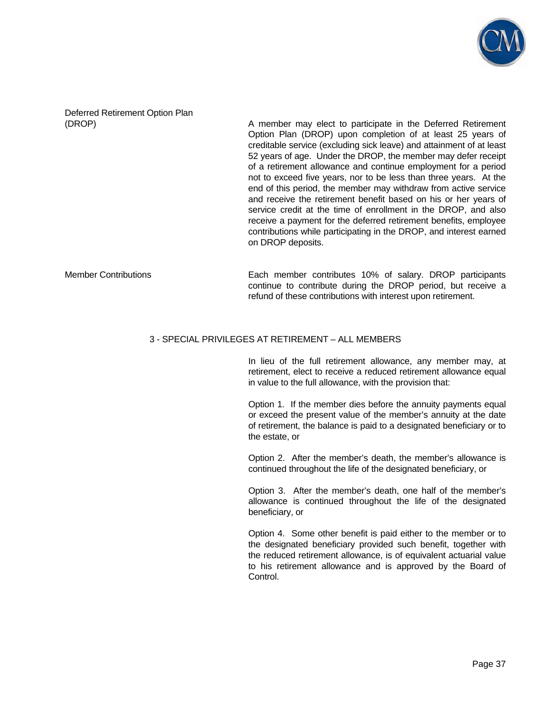

Deferred Retirement Option Plan

(DROP) A member may elect to participate in the Deferred Retirement Option Plan (DROP) upon completion of at least 25 years of creditable service (excluding sick leave) and attainment of at least 52 years of age. Under the DROP, the member may defer receipt of a retirement allowance and continue employment for a period not to exceed five years, nor to be less than three years. At the end of this period, the member may withdraw from active service and receive the retirement benefit based on his or her years of service credit at the time of enrollment in the DROP, and also receive a payment for the deferred retirement benefits, employee contributions while participating in the DROP, and interest earned on DROP deposits.

Member Contributions Each member contributes 10% of salary. DROP participants continue to contribute during the DROP period, but receive a refund of these contributions with interest upon retirement.

#### 3 - SPECIAL PRIVILEGES AT RETIREMENT – ALL MEMBERS

 In lieu of the full retirement allowance, any member may, at retirement, elect to receive a reduced retirement allowance equal in value to the full allowance, with the provision that:

 Option 1. If the member dies before the annuity payments equal or exceed the present value of the member's annuity at the date of retirement, the balance is paid to a designated beneficiary or to the estate, or

 Option 2. After the member's death, the member's allowance is continued throughout the life of the designated beneficiary, or

 Option 3. After the member's death, one half of the member's allowance is continued throughout the life of the designated beneficiary, or

 Option 4. Some other benefit is paid either to the member or to the designated beneficiary provided such benefit, together with the reduced retirement allowance, is of equivalent actuarial value to his retirement allowance and is approved by the Board of Control.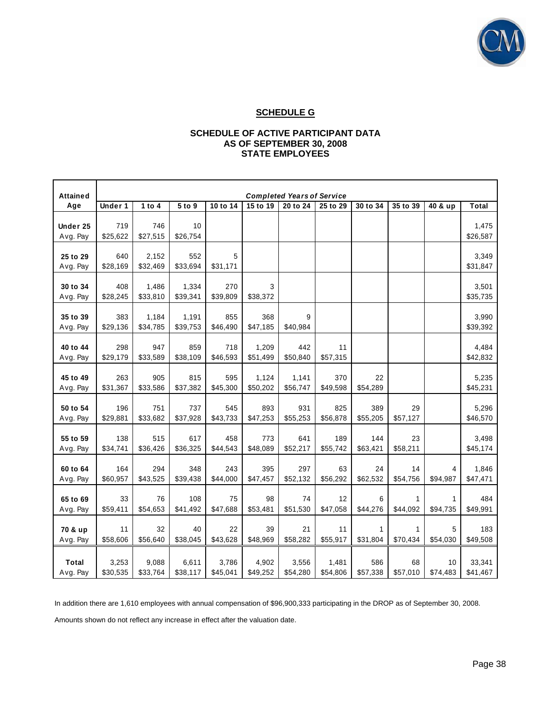

## **SCHEDULE G**

#### **SCHEDULE OF ACTIVE PARTICIPANT DATA AS OF SEPTEMBER 30, 2008 STATE EMPLOYEES**

| <b>Attained</b>          | <b>Completed Years of Service</b> |                   |                   |                   |                   |                   |                   |                 |                |                |                    |
|--------------------------|-----------------------------------|-------------------|-------------------|-------------------|-------------------|-------------------|-------------------|-----------------|----------------|----------------|--------------------|
| Age                      | Under 1                           | 1 to $4$          | 5 to 9            | 10 to 14          | 15 to 19          | 20 to 24          | 25 to 29          | 30 to 34        | 35 to 39       | 40 & up        | <b>Total</b>       |
| Under 25<br>Avg. Pay     | 719<br>\$25,622                   | 746<br>\$27,515   | 10<br>\$26,754    |                   |                   |                   |                   |                 |                |                | 1,475<br>\$26,587  |
| 25 to 29<br>Avg. Pay     | 640<br>\$28,169                   | 2,152<br>\$32,469 | 552<br>\$33,694   | 5<br>\$31,171     |                   |                   |                   |                 |                |                | 3,349<br>\$31,847  |
| 30 to 34<br>Avg. Pay     | 408<br>\$28,245                   | 1,486<br>\$33,810 | 1,334<br>\$39,341 | 270<br>\$39,809   | 3<br>\$38,372     |                   |                   |                 |                |                | 3,501<br>\$35,735  |
| 35 to 39<br>Avg. Pay     | 383<br>\$29,136                   | 1,184<br>\$34,785 | 1,191<br>\$39,753 | 855<br>\$46,490   | 368<br>\$47,185   | 9<br>\$40,984     |                   |                 |                |                | 3,990<br>\$39,392  |
| 40 to 44<br>Avg. Pay     | 298<br>\$29,179                   | 947<br>\$33,589   | 859<br>\$38,109   | 718<br>\$46,593   | 1,209<br>\$51,499 | 442<br>\$50,840   | 11<br>\$57,315    |                 |                |                | 4,484<br>\$42,832  |
| 45 to 49<br>Avg. Pay     | 263<br>\$31,367                   | 905<br>\$33,586   | 815<br>\$37,382   | 595<br>\$45,300   | 1,124<br>\$50,202 | 1,141<br>\$56,747 | 370<br>\$49,598   | 22<br>\$54,289  |                |                | 5,235<br>\$45,231  |
| 50 to 54<br>Avg. Pay     | 196<br>\$29,881                   | 751<br>\$33,682   | 737<br>\$37,928   | 545<br>\$43,733   | 893<br>\$47,253   | 931<br>\$55,253   | 825<br>\$56,878   | 389<br>\$55,205 | 29<br>\$57,127 |                | 5,296<br>\$46,570  |
| 55 to 59<br>Avg. Pay     | 138<br>\$34,741                   | 515<br>\$36,426   | 617<br>\$36,325   | 458<br>\$44,543   | 773<br>\$48,089   | 641<br>\$52,217   | 189<br>\$55,742   | 144<br>\$63,421 | 23<br>\$58,211 |                | 3,498<br>\$45,174  |
| 60 to 64<br>Avg. Pay     | 164<br>\$60,957                   | 294<br>\$43,525   | 348<br>\$39,438   | 243<br>\$44,000   | 395<br>\$47,457   | 297<br>\$52,132   | 63<br>\$56,292    | 24<br>\$62,532  | 14<br>\$54,756 | 4<br>\$94,987  | 1,846<br>\$47,471  |
| 65 to 69<br>Avg. Pay     | 33<br>\$59,411                    | 76<br>\$54,653    | 108<br>\$41,492   | 75<br>\$47,688    | 98<br>\$53,481    | 74<br>\$51,530    | 12<br>\$47,058    | 6<br>\$44,276   | 1<br>\$44,092  | 1<br>\$94,735  | 484<br>\$49,991    |
| 70 & up<br>Avg. Pay      | 11<br>\$58,606                    | 32<br>\$56,640    | 40<br>\$38,045    | 22<br>\$43,628    | 39<br>\$48,969    | 21<br>\$58,282    | 11<br>\$55,917    | 1<br>\$31,804   | 1<br>\$70,434  | 5<br>\$54,030  | 183<br>\$49,508    |
| <b>Total</b><br>Avg. Pay | 3,253<br>\$30,535                 | 9,088<br>\$33,764 | 6,611<br>\$38,117 | 3,786<br>\$45,041 | 4,902<br>\$49,252 | 3,556<br>\$54,280 | 1,481<br>\$54,806 | 586<br>\$57,338 | 68<br>\$57,010 | 10<br>\$74,483 | 33,341<br>\$41,467 |

 In addition there are 1,610 employees with annual compensation of \$96,900,333 participating in the DROP as of September 30, 2008. Amounts shown do not reflect any increase in effect after the valuation date.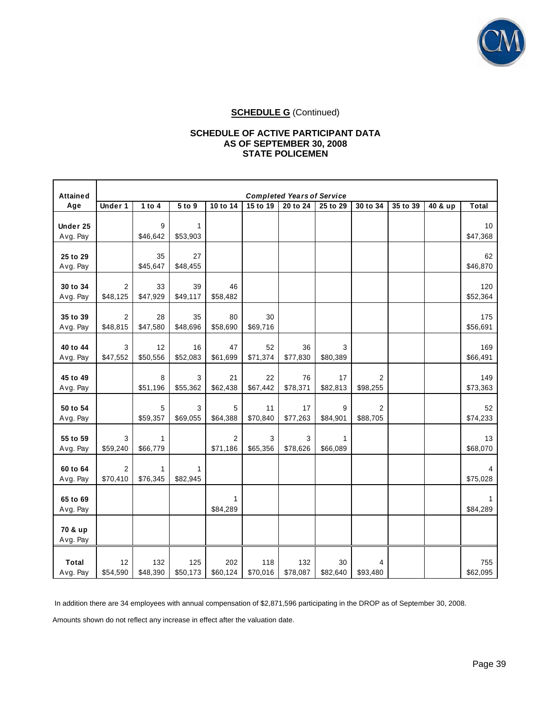

## **SCHEDULE G** (Continued)

#### **SCHEDULE OF ACTIVE PARTICIPANT DATA AS OF SEPTEMBER 30, 2008 STATE POLICEMEN**

| <b>Attained</b>          | <b>Completed Years of Service</b> |                 |                 |                            |                 |                 |                          |                            |          |         |                 |
|--------------------------|-----------------------------------|-----------------|-----------------|----------------------------|-----------------|-----------------|--------------------------|----------------------------|----------|---------|-----------------|
| Age                      | Under 1                           | 1 to $4$        | 5 to 9          | 10 to 14                   | 15 to 19        | 20 to 24        | 25 to 29                 | 30 to 34                   | 35 to 39 | 40 & up | <b>Total</b>    |
| Under 25<br>Avg. Pay     |                                   | 9<br>\$46,642   | 1<br>\$53,903   |                            |                 |                 |                          |                            |          |         | 10<br>\$47,368  |
| 25 to 29<br>Avg. Pay     |                                   | 35<br>\$45,647  | 27<br>\$48,455  |                            |                 |                 |                          |                            |          |         | 62<br>\$46,870  |
| 30 to 34<br>Avg. Pay     | $\overline{2}$<br>\$48,125        | 33<br>\$47,929  | 39<br>\$49,117  | 46<br>\$58,482             |                 |                 |                          |                            |          |         | 120<br>\$52,364 |
| 35 to 39<br>Avg. Pay     | $\overline{2}$<br>\$48,815        | 28<br>\$47,580  | 35<br>\$48,696  | 80<br>\$58,690             | 30<br>\$69,716  |                 |                          |                            |          |         | 175<br>\$56,691 |
| 40 to 44<br>Avg. Pay     | 3<br>\$47,552                     | 12<br>\$50,556  | 16<br>\$52,083  | 47<br>\$61,699             | 52<br>\$71,374  | 36<br>\$77,830  | 3<br>\$80,389            |                            |          |         | 169<br>\$66,491 |
| 45 to 49<br>Avg. Pay     |                                   | 8<br>\$51,196   | 3<br>\$55,362   | 21<br>\$62,438             | 22<br>\$67,442  | 76<br>\$78,371  | 17<br>\$82,813           | $\overline{2}$<br>\$98,255 |          |         | 149<br>\$73,363 |
| 50 to 54<br>Avg. Pay     |                                   | 5<br>\$59,357   | 3<br>\$69,055   | 5<br>\$64,388              | 11<br>\$70,840  | 17<br>\$77,263  | 9<br>\$84,901            | $\overline{2}$<br>\$88,705 |          |         | 52<br>\$74,233  |
| 55 to 59<br>Avg. Pay     | 3<br>\$59,240                     | 1<br>\$66,779   |                 | $\overline{2}$<br>\$71,186 | 3<br>\$65,356   | 3<br>\$78,626   | $\mathbf{1}$<br>\$66,089 |                            |          |         | 13<br>\$68,070  |
| 60 to 64<br>Avg. Pay     | $\overline{2}$<br>\$70,410        | 1<br>\$76,345   | 1<br>\$82,945   |                            |                 |                 |                          |                            |          |         | 4<br>\$75,028   |
| 65 to 69<br>Avg. Pay     |                                   |                 |                 | 1<br>\$84,289              |                 |                 |                          |                            |          |         | \$84,289        |
| 70 & up<br>Avg. Pay      |                                   |                 |                 |                            |                 |                 |                          |                            |          |         |                 |
| <b>Total</b><br>Avg. Pay | 12<br>\$54,590                    | 132<br>\$48,390 | 125<br>\$50,173 | 202<br>\$60,124            | 118<br>\$70,016 | 132<br>\$78,087 | 30<br>\$82,640           | $\overline{4}$<br>\$93,480 |          |         | 755<br>\$62,095 |

In addition there are 34 employees with annual compensation of \$2,871,596 participating in the DROP as of September 30, 2008.

Amounts shown do not reflect any increase in effect after the valuation date.